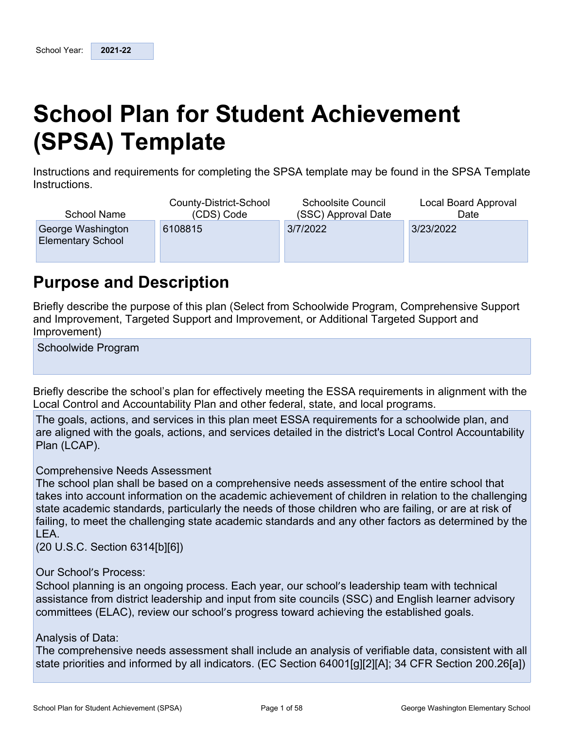# **School Plan for Student Achievement (SPSA) Template**

Instructions and requirements for completing the SPSA template may be found in the SPSA Template Instructions.

| <b>School Name</b>                            | County-District-School | <b>Schoolsite Council</b> | Local Board Approval |
|-----------------------------------------------|------------------------|---------------------------|----------------------|
|                                               | (CDS) Code             | (SSC) Approval Date       | Date                 |
| George Washington<br><b>Elementary School</b> | 6108815                | 3/7/2022                  | 3/23/2022            |

## **Purpose and Description**

Briefly describe the purpose of this plan (Select from Schoolwide Program, Comprehensive Support and Improvement, Targeted Support and Improvement, or Additional Targeted Support and Improvement)

Schoolwide Program

Briefly describe the school's plan for effectively meeting the ESSA requirements in alignment with the Local Control and Accountability Plan and other federal, state, and local programs.

The goals, actions, and services in this plan meet ESSA requirements for a schoolwide plan, and are aligned with the goals, actions, and services detailed in the district's Local Control Accountability Plan (LCAP).

#### Comprehensive Needs Assessment

The school plan shall be based on a comprehensive needs assessment of the entire school that takes into account information on the academic achievement of children in relation to the challenging state academic standards, particularly the needs of those children who are failing, or are at risk of failing, to meet the challenging state academic standards and any other factors as determined by the LEA.

(20 U.S.C. Section 6314[b][6])

#### Our School's Process:

School planning is an ongoing process. Each year, our school's leadership team with technical assistance from district leadership and input from site councils (SSC) and English learner advisory committees (ELAC), review our school's progress toward achieving the established goals.

#### Analysis of Data:

The comprehensive needs assessment shall include an analysis of verifiable data, consistent with all state priorities and informed by all indicators. (EC Section 64001[g][2][A]; 34 CFR Section 200.26[a])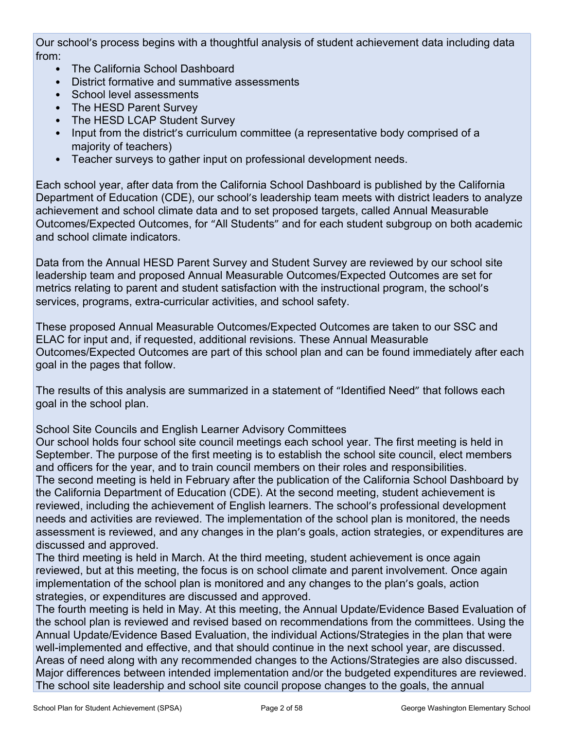Our school's process begins with a thoughtful analysis of student achievement data including data from:

- The California School Dashboard
- District formative and summative assessments
- School level assessments
- The HESD Parent Survey
- The HESD LCAP Student Survey
- Input from the district's curriculum committee (a representative body comprised of a majority of teachers)
- Teacher surveys to gather input on professional development needs.

Each school year, after data from the California School Dashboard is published by the California Department of Education (CDE), our school's leadership team meets with district leaders to analyze achievement and school climate data and to set proposed targets, called Annual Measurable Outcomes/Expected Outcomes, for "All Students" and for each student subgroup on both academic and school climate indicators.

Data from the Annual HESD Parent Survey and Student Survey are reviewed by our school site leadership team and proposed Annual Measurable Outcomes/Expected Outcomes are set for metrics relating to parent and student satisfaction with the instructional program, the school's services, programs, extra-curricular activities, and school safety.

These proposed Annual Measurable Outcomes/Expected Outcomes are taken to our SSC and ELAC for input and, if requested, additional revisions. These Annual Measurable Outcomes/Expected Outcomes are part of this school plan and can be found immediately after each goal in the pages that follow.

The results of this analysis are summarized in a statement of "Identified Need" that follows each goal in the school plan.

School Site Councils and English Learner Advisory Committees

Our school holds four school site council meetings each school year. The first meeting is held in September. The purpose of the first meeting is to establish the school site council, elect members and officers for the year, and to train council members on their roles and responsibilities. The second meeting is held in February after the publication of the California School Dashboard by the California Department of Education (CDE). At the second meeting, student achievement is reviewed, including the achievement of English learners. The school's professional development needs and activities are reviewed. The implementation of the school plan is monitored, the needs assessment is reviewed, and any changes in the plan's goals, action strategies, or expenditures are discussed and approved.

The third meeting is held in March. At the third meeting, student achievement is once again reviewed, but at this meeting, the focus is on school climate and parent involvement. Once again implementation of the school plan is monitored and any changes to the plan's goals, action strategies, or expenditures are discussed and approved.

The fourth meeting is held in May. At this meeting, the Annual Update/Evidence Based Evaluation of the school plan is reviewed and revised based on recommendations from the committees. Using the Annual Update/Evidence Based Evaluation, the individual Actions/Strategies in the plan that were well-implemented and effective, and that should continue in the next school year, are discussed. Areas of need along with any recommended changes to the Actions/Strategies are also discussed. Major differences between intended implementation and/or the budgeted expenditures are reviewed. The school site leadership and school site council propose changes to the goals, the annual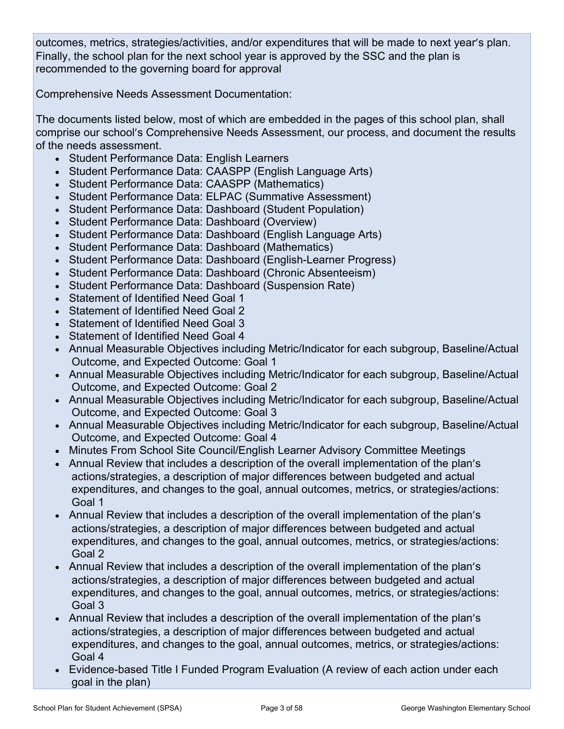outcomes, metrics, strategies/activities, and/or expenditures that will be made to next year's plan. Finally, the school plan for the next school year is approved by the SSC and the plan is recommended to the governing board for approval

Comprehensive Needs Assessment Documentation:

The documents listed below, most of which are embedded in the pages of this school plan, shall comprise our school's Comprehensive Needs Assessment, our process, and document the results of the needs assessment.

- Student Performance Data: English Learners
- Student Performance Data: CAASPP (English Language Arts)
- Student Performance Data: CAASPP (Mathematics)
- Student Performance Data: ELPAC (Summative Assessment)
- Student Performance Data: Dashboard (Student Population)
- Student Performance Data: Dashboard (Overview)
- Student Performance Data: Dashboard (English Language Arts)
- Student Performance Data: Dashboard (Mathematics)
- Student Performance Data: Dashboard (English-Learner Progress)
- Student Performance Data: Dashboard (Chronic Absenteeism)
- Student Performance Data: Dashboard (Suspension Rate)
- Statement of Identified Need Goal 1
- Statement of Identified Need Goal 2
- Statement of Identified Need Goal 3
- Statement of Identified Need Goal 4
- Annual Measurable Objectives including Metric/Indicator for each subgroup, Baseline/Actual Outcome, and Expected Outcome: Goal 1
- Annual Measurable Objectives including Metric/Indicator for each subgroup, Baseline/Actual Outcome, and Expected Outcome: Goal 2
- Annual Measurable Objectives including Metric/Indicator for each subgroup, Baseline/Actual Outcome, and Expected Outcome: Goal 3
- Annual Measurable Objectives including Metric/Indicator for each subgroup, Baseline/Actual Outcome, and Expected Outcome: Goal 4
- Minutes From School Site Council/English Learner Advisory Committee Meetings
- Annual Review that includes a description of the overall implementation of the plan's actions/strategies, a description of major differences between budgeted and actual expenditures, and changes to the goal, annual outcomes, metrics, or strategies/actions: Goal 1
- Annual Review that includes a description of the overall implementation of the plan's actions/strategies, a description of major differences between budgeted and actual expenditures, and changes to the goal, annual outcomes, metrics, or strategies/actions: Goal 2
- Annual Review that includes a description of the overall implementation of the plan's actions/strategies, a description of major differences between budgeted and actual expenditures, and changes to the goal, annual outcomes, metrics, or strategies/actions: Goal 3
- Annual Review that includes a description of the overall implementation of the plan's actions/strategies, a description of major differences between budgeted and actual expenditures, and changes to the goal, annual outcomes, metrics, or strategies/actions: Goal 4
- Evidence-based Title I Funded Program Evaluation (A review of each action under each goal in the plan)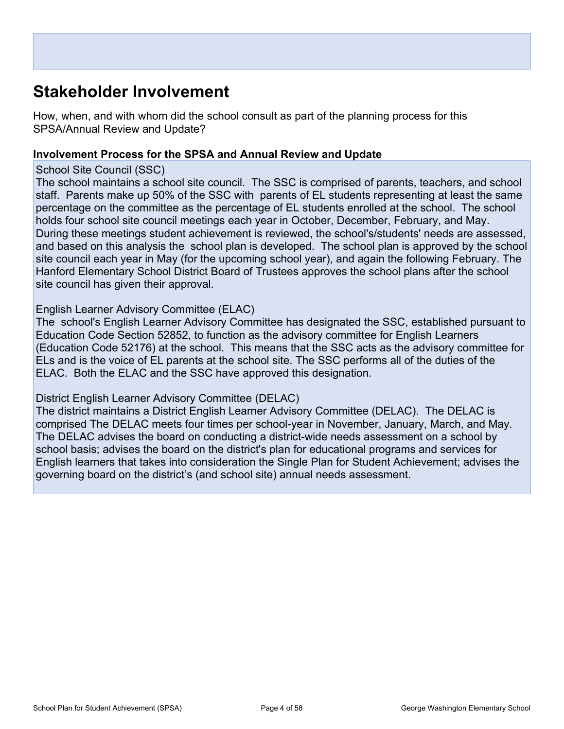## **Stakeholder Involvement**

How, when, and with whom did the school consult as part of the planning process for this SPSA/Annual Review and Update?

#### **Involvement Process for the SPSA and Annual Review and Update**

#### School Site Council (SSC)

The school maintains a school site council. The SSC is comprised of parents, teachers, and school staff. Parents make up 50% of the SSC with parents of EL students representing at least the same percentage on the committee as the percentage of EL students enrolled at the school. The school holds four school site council meetings each year in October, December, February, and May. During these meetings student achievement is reviewed, the school's/students' needs are assessed, and based on this analysis the school plan is developed. The school plan is approved by the school site council each year in May (for the upcoming school year), and again the following February. The Hanford Elementary School District Board of Trustees approves the school plans after the school site council has given their approval.

#### English Learner Advisory Committee (ELAC)

The school's English Learner Advisory Committee has designated the SSC, established pursuant to Education Code Section 52852, to function as the advisory committee for English Learners (Education Code 52176) at the school. This means that the SSC acts as the advisory committee for ELs and is the voice of EL parents at the school site. The SSC performs all of the duties of the ELAC. Both the ELAC and the SSC have approved this designation.

#### District English Learner Advisory Committee (DELAC)

The district maintains a District English Learner Advisory Committee (DELAC). The DELAC is comprised The DELAC meets four times per school-year in November, January, March, and May. The DELAC advises the board on conducting a district-wide needs assessment on a school by school basis; advises the board on the district's plan for educational programs and services for English learners that takes into consideration the Single Plan for Student Achievement; advises the governing board on the district's (and school site) annual needs assessment.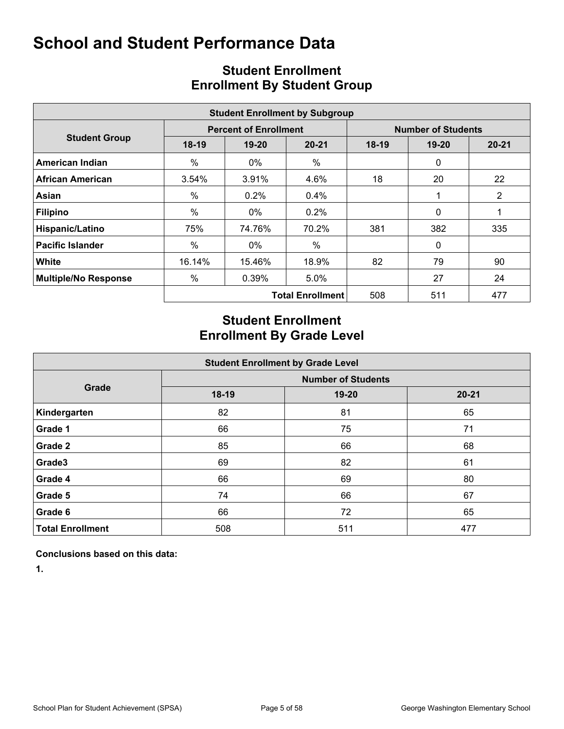|                             |         |                              | <b>Student Enrollment by Subgroup</b> |                           |              |                |  |  |  |
|-----------------------------|---------|------------------------------|---------------------------------------|---------------------------|--------------|----------------|--|--|--|
|                             |         | <b>Percent of Enrollment</b> |                                       | <b>Number of Students</b> |              |                |  |  |  |
| <b>Student Group</b>        | $18-19$ | $19 - 20$                    | $20 - 21$                             | $18-19$                   | $19 - 20$    | $20 - 21$      |  |  |  |
| American Indian             | $\%$    | 0%                           | %                                     |                           | $\mathbf{0}$ |                |  |  |  |
| <b>African American</b>     | 3.54%   | 3.91%                        | 4.6%                                  | 18                        | 20           | 22             |  |  |  |
| Asian                       | $\%$    | $0.2\%$                      | 0.4%                                  |                           |              | $\overline{2}$ |  |  |  |
| <b>Filipino</b>             | %       | $0\%$                        | $0.2\%$                               |                           | $\Omega$     |                |  |  |  |
| Hispanic/Latino             | 75%     | 74.76%                       | 70.2%                                 | 381                       | 382          | 335            |  |  |  |
| <b>Pacific Islander</b>     | %       | $0\%$                        | $\%$                                  |                           | $\mathbf{0}$ |                |  |  |  |
| White                       | 16.14%  | 15.46%                       | 18.9%                                 | 82                        | 79           | 90             |  |  |  |
| <b>Multiple/No Response</b> | %       | 0.39%                        | 5.0%                                  |                           | 27           | 24             |  |  |  |
|                             |         |                              | <b>Total Enrollment</b>               | 508                       | 511          | 477            |  |  |  |

## **Student Enrollment Enrollment By Student Group**

## **Student Enrollment Enrollment By Grade Level**

|                         |       | <b>Student Enrollment by Grade Level</b> |           |
|-------------------------|-------|------------------------------------------|-----------|
|                         |       | <b>Number of Students</b>                |           |
| Grade                   | 18-19 | $19 - 20$                                | $20 - 21$ |
| Kindergarten            | 82    | 81                                       | 65        |
| Grade 1                 | 66    | 75                                       | 71        |
| Grade 2                 | 85    | 66                                       | 68        |
| Grade3                  | 69    | 82                                       | 61        |
| Grade 4                 | 66    | 69                                       | 80        |
| Grade 5                 | 74    | 66                                       | 67        |
| Grade 6                 | 66    | 72                                       | 65        |
| <b>Total Enrollment</b> | 508   | 511                                      | 477       |

**Conclusions based on this data:**

**1.**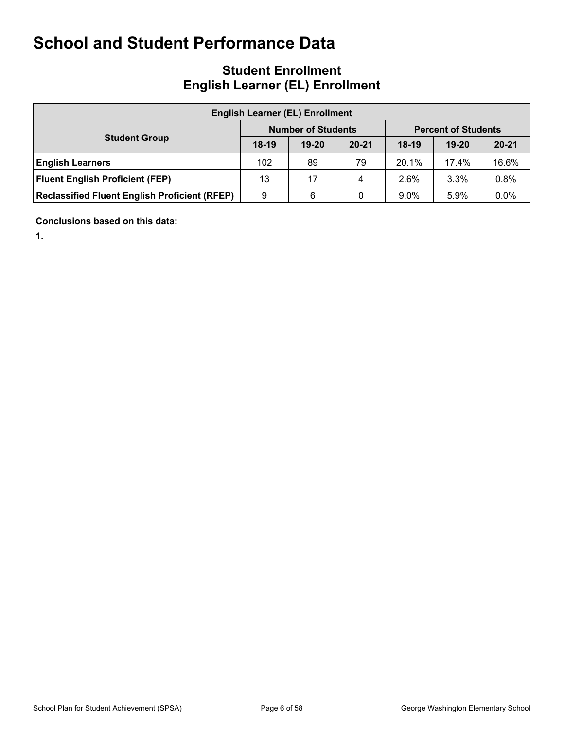## **Student Enrollment English Learner (EL) Enrollment**

| <b>English Learner (EL) Enrollment</b>               |         |                           |           |                            |           |           |  |  |  |  |  |  |  |
|------------------------------------------------------|---------|---------------------------|-----------|----------------------------|-----------|-----------|--|--|--|--|--|--|--|
|                                                      |         | <b>Number of Students</b> |           | <b>Percent of Students</b> |           |           |  |  |  |  |  |  |  |
| <b>Student Group</b>                                 | $18-19$ | $19 - 20$                 | $20 - 21$ | $18-19$                    | $19 - 20$ | $20 - 21$ |  |  |  |  |  |  |  |
| <b>English Learners</b>                              | 102     | 89                        | 79        | 20.1%                      | 17.4%     | 16.6%     |  |  |  |  |  |  |  |
| <b>Fluent English Proficient (FEP)</b>               | 13      | 17                        | 4         | 2.6%                       | 3.3%      | 0.8%      |  |  |  |  |  |  |  |
| <b>Reclassified Fluent English Proficient (RFEP)</b> | 9       | 6                         | 0         | $9.0\%$                    | 5.9%      | 0.0%      |  |  |  |  |  |  |  |

**Conclusions based on this data:**

**1.**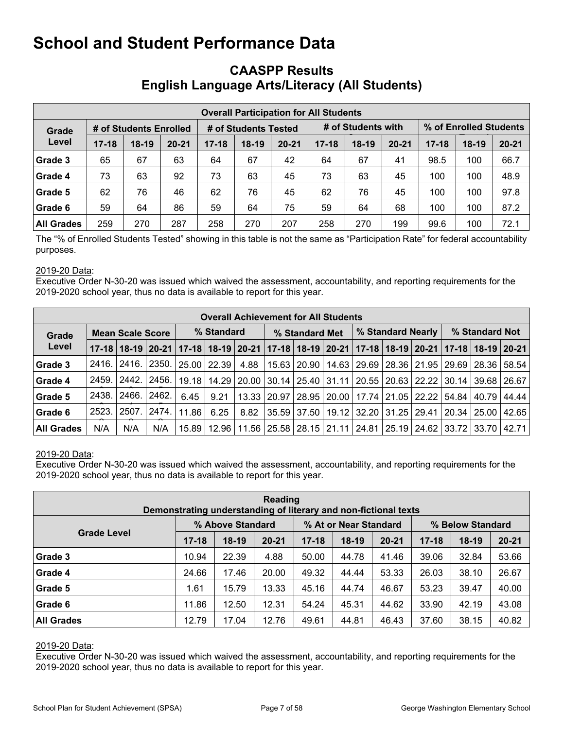### **CAASPP Results English Language Arts/Literacy (All Students)**

|                   |           |                        |           |           |                      | <b>Overall Participation for All Students</b> |           |                    |           |                        |         |           |  |
|-------------------|-----------|------------------------|-----------|-----------|----------------------|-----------------------------------------------|-----------|--------------------|-----------|------------------------|---------|-----------|--|
| Grade             |           | # of Students Enrolled |           |           | # of Students Tested |                                               |           | # of Students with |           | % of Enrolled Students |         |           |  |
| Level             | $17 - 18$ | $18-19$                | $20 - 21$ | $17 - 18$ | $18-19$              | $20 - 21$                                     | $17 - 18$ | $18-19$            | $20 - 21$ | $17 - 18$              | $18-19$ | $20 - 21$ |  |
| Grade 3           | 65        | 67                     | 63        | 64        | 67                   | 42                                            | 64        | 67                 | 41        | 98.5                   | 100     | 66.7      |  |
| Grade 4           | 73        | 63                     | 92        | 73        | 63                   | 45                                            | 73        | 63                 | 45        | 100                    | 100     | 48.9      |  |
| Grade 5           | 62        | 76                     | 46        | 62        | 76                   | 45                                            | 62        | 76                 | 45        | 100                    | 100     | 97.8      |  |
| Grade 6           | 59        | 64                     | 86        | 59        | 64                   | 75                                            | 59        | 64                 | 68        | 100                    | 100     | 87.2      |  |
| <b>All Grades</b> | 259       | 270                    | 287       | 258       | 270                  | 207                                           | 258       | 270                | 199       | 99.6                   | 100     | 72.1      |  |

The "% of Enrolled Students Tested" showing in this table is not the same as "Participation Rate" for federal accountability purposes.

#### 2019-20 Data:

Executive Order N-30-20 was issued which waived the assessment, accountability, and reporting requirements for the 2019-2020 school year, thus no data is available to report for this year.

|                   | <b>Overall Achievement for All Students</b> |                                                                                                                       |       |                    |                 |       |                |                                                       |  |  |  |                       |                |                    |                                                                               |
|-------------------|---------------------------------------------|-----------------------------------------------------------------------------------------------------------------------|-------|--------------------|-----------------|-------|----------------|-------------------------------------------------------|--|--|--|-----------------------|----------------|--------------------|-------------------------------------------------------------------------------|
| Grade             |                                             | <b>Mean Scale Score</b>                                                                                               |       |                    | % Standard      |       | % Standard Met |                                                       |  |  |  | % Standard Nearly     | % Standard Not |                    |                                                                               |
| Level             |                                             | 17-18   18-19   20-21   17-18   18-19   20-21   17-18   18-19   20-21   17-18   18-19   20-21   17-18   18-19   20-21 |       |                    |                 |       |                |                                                       |  |  |  |                       |                |                    |                                                                               |
| Grade 3           | 2416.                                       | -2416. l                                                                                                              | 2350. |                    | $25.00$   22.39 | 4.88  |                | 15.63   20.90   14.63   29.69   28.36   21.95   29.69 |  |  |  |                       |                | 28.36              | 58.54                                                                         |
| Grade 4           | 2459.                                       | 2442.                                                                                                                 | 2456. | 19.18              | 14.29           | 20.00 |                | 30.14   25.40   31.11   20.55   20.63   22.22         |  |  |  |                       |                | 30.14 39.68        | 26.67                                                                         |
| Grade 5           | 2438.                                       | 2466.                                                                                                                 | 2462. | 6.45               | 9.21            | 13.33 |                | 20.97   28.95   20.00                                 |  |  |  | 17.74   21.05   22.22 | 54.84          | 40.79              | 44.44                                                                         |
| Grade 6           | 2523.                                       | 2507.                                                                                                                 | 2474. | 11.86              | 6.25            | 8.82  |                | 35.59 37.50 19.12 32.20 31.25 29.41                   |  |  |  |                       |                | $20.34 \mid 25.00$ | 42.65                                                                         |
| <b>All Grades</b> | N/A                                         | N/A                                                                                                                   | N/A   | 15.89 <sup>1</sup> | 12.96           |       |                |                                                       |  |  |  |                       |                |                    | 11.56   25.58   28.15   21.11   24.81   25.19   24.62   33.72   33.70   42.71 |

#### 2019-20 Data:

Executive Order N-30-20 was issued which waived the assessment, accountability, and reporting requirements for the 2019-2020 school year, thus no data is available to report for this year.

| Reading<br>Demonstrating understanding of literary and non-fictional texts |           |                  |           |           |                       |           |           |                  |           |  |  |  |  |
|----------------------------------------------------------------------------|-----------|------------------|-----------|-----------|-----------------------|-----------|-----------|------------------|-----------|--|--|--|--|
|                                                                            |           | % Above Standard |           |           | % At or Near Standard |           |           | % Below Standard |           |  |  |  |  |
| <b>Grade Level</b>                                                         | $17 - 18$ | $18-19$          | $20 - 21$ | $17 - 18$ | $18-19$               | $20 - 21$ | $17 - 18$ | $18-19$          | $20 - 21$ |  |  |  |  |
| Grade 3                                                                    | 10.94     | 22.39            | 4.88      | 50.00     | 44.78                 | 41.46     | 39.06     | 32.84            | 53.66     |  |  |  |  |
| Grade 4                                                                    | 24.66     | 17.46            | 20.00     | 49.32     | 44.44                 | 53.33     | 26.03     | 38.10            | 26.67     |  |  |  |  |
| Grade 5                                                                    | 1.61      | 15.79            | 13.33     | 45.16     | 44.74                 | 46.67     | 53.23     | 39.47            | 40.00     |  |  |  |  |
| Grade 6                                                                    | 11.86     | 12.50            | 12.31     | 54.24     | 45.31                 | 44.62     | 33.90     | 42.19            | 43.08     |  |  |  |  |
| <b>All Grades</b>                                                          | 12.79     | 17.04            | 12.76     | 49.61     | 44.81                 | 46.43     | 37.60     | 38.15            | 40.82     |  |  |  |  |

#### 2019-20 Data: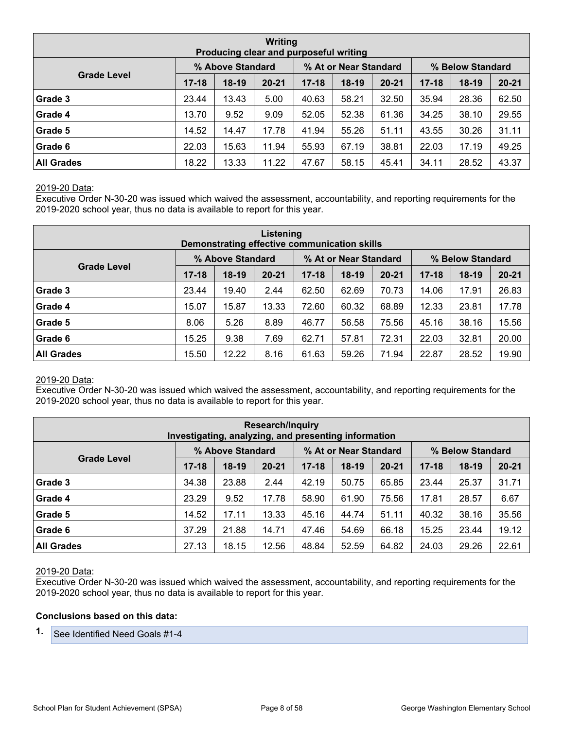| Writing<br>Producing clear and purposeful writing |           |                  |           |           |                       |           |           |                  |           |  |  |  |  |
|---------------------------------------------------|-----------|------------------|-----------|-----------|-----------------------|-----------|-----------|------------------|-----------|--|--|--|--|
|                                                   |           | % Above Standard |           |           | % At or Near Standard |           |           | % Below Standard |           |  |  |  |  |
| <b>Grade Level</b>                                | $17 - 18$ | $18-19$          | $20 - 21$ | $17 - 18$ | $18-19$               | $20 - 21$ | $17 - 18$ | $18-19$          | $20 - 21$ |  |  |  |  |
| Grade 3                                           | 23.44     | 13.43            | 5.00      | 40.63     | 58.21                 | 32.50     | 35.94     | 28.36            | 62.50     |  |  |  |  |
| Grade 4                                           | 13.70     | 9.52             | 9.09      | 52.05     | 52.38                 | 61.36     | 34.25     | 38.10            | 29.55     |  |  |  |  |
| Grade 5                                           | 14.52     | 14.47            | 17.78     | 41.94     | 55.26                 | 51.11     | 43.55     | 30.26            | 31.11     |  |  |  |  |
| Grade 6                                           | 22.03     | 15.63            | 11.94     | 55.93     | 67.19                 | 38.81     | 22.03     | 17.19            | 49.25     |  |  |  |  |
| <b>All Grades</b>                                 | 18.22     | 13.33            | 11.22     | 47.67     | 58.15                 | 45.41     | 34.11     | 28.52            | 43.37     |  |  |  |  |

Executive Order N-30-20 was issued which waived the assessment, accountability, and reporting requirements for the 2019-2020 school year, thus no data is available to report for this year.

| Listening<br>Demonstrating effective communication skills |           |                  |           |           |                       |           |           |                  |           |  |  |  |
|-----------------------------------------------------------|-----------|------------------|-----------|-----------|-----------------------|-----------|-----------|------------------|-----------|--|--|--|
|                                                           |           | % Above Standard |           |           | % At or Near Standard |           |           | % Below Standard |           |  |  |  |
| <b>Grade Level</b>                                        | $17 - 18$ | $18-19$          | $20 - 21$ | $17 - 18$ | $18-19$               | $20 - 21$ | $17 - 18$ | $18-19$          | $20 - 21$ |  |  |  |
| Grade 3                                                   | 23.44     | 19.40            | 2.44      | 62.50     | 62.69                 | 70.73     | 14.06     | 17.91            | 26.83     |  |  |  |
| Grade 4                                                   | 15.07     | 15.87            | 13.33     | 72.60     | 60.32                 | 68.89     | 12.33     | 23.81            | 17.78     |  |  |  |
| Grade 5                                                   | 8.06      | 5.26             | 8.89      | 46.77     | 56.58                 | 75.56     | 45.16     | 38.16            | 15.56     |  |  |  |
| Grade 6                                                   | 15.25     | 9.38             | 7.69      | 62.71     | 57.81                 | 72.31     | 22.03     | 32.81            | 20.00     |  |  |  |
| <b>All Grades</b>                                         | 15.50     | 12.22            | 8.16      | 61.63     | 59.26                 | 71.94     | 22.87     | 28.52            | 19.90     |  |  |  |

#### 2019-20 Data:

Executive Order N-30-20 was issued which waived the assessment, accountability, and reporting requirements for the 2019-2020 school year, thus no data is available to report for this year.

|                                                                                     | <b>Research/Inquiry</b><br>Investigating, analyzing, and presenting information |         |           |           |       |           |           |         |           |  |  |  |  |  |
|-------------------------------------------------------------------------------------|---------------------------------------------------------------------------------|---------|-----------|-----------|-------|-----------|-----------|---------|-----------|--|--|--|--|--|
| % At or Near Standard<br>% Above Standard<br>% Below Standard<br><b>Grade Level</b> |                                                                                 |         |           |           |       |           |           |         |           |  |  |  |  |  |
|                                                                                     | $17 - 18$                                                                       | $18-19$ | $20 - 21$ | $17 - 18$ | 18-19 | $20 - 21$ | $17 - 18$ | $18-19$ | $20 - 21$ |  |  |  |  |  |
| Grade 3                                                                             | 34.38                                                                           | 23.88   | 2.44      | 42.19     | 50.75 | 65.85     | 23.44     | 25.37   | 31.71     |  |  |  |  |  |
| Grade 4                                                                             | 23.29                                                                           | 9.52    | 17.78     | 58.90     | 61.90 | 75.56     | 17.81     | 28.57   | 6.67      |  |  |  |  |  |
| Grade 5                                                                             | 14.52                                                                           | 17.11   | 13.33     | 45.16     | 44.74 | 51.11     | 40.32     | 38.16   | 35.56     |  |  |  |  |  |
| Grade 6                                                                             | 37.29                                                                           | 21.88   | 14.71     | 47.46     | 54.69 | 66.18     | 15.25     | 23.44   | 19.12     |  |  |  |  |  |
| <b>All Grades</b>                                                                   | 27.13                                                                           | 18.15   | 12.56     | 48.84     | 52.59 | 64.82     | 24.03     | 29.26   | 22.61     |  |  |  |  |  |

#### 2019-20 Data:

Executive Order N-30-20 was issued which waived the assessment, accountability, and reporting requirements for the 2019-2020 school year, thus no data is available to report for this year.

#### **Conclusions based on this data:**

**1.** See Identified Need Goals #1-4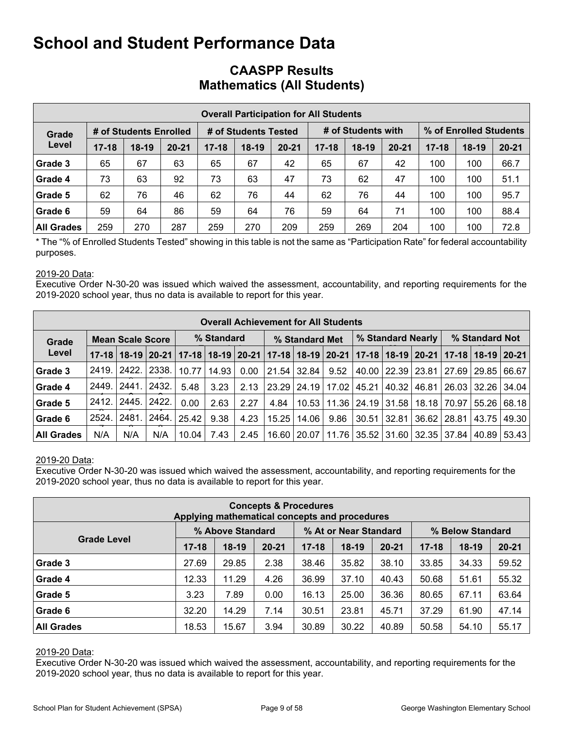|                   |           |                        |           |           | <b>Overall Participation for All Students</b> |           |           |                    |           |                        |         |           |  |
|-------------------|-----------|------------------------|-----------|-----------|-----------------------------------------------|-----------|-----------|--------------------|-----------|------------------------|---------|-----------|--|
| Grade             |           | # of Students Enrolled |           |           | # of Students Tested                          |           |           | # of Students with |           | % of Enrolled Students |         |           |  |
| Level             | $17 - 18$ | $18-19$                | $20 - 21$ | $17 - 18$ | $18-19$                                       | $20 - 21$ | $17 - 18$ | $18-19$            | $20 - 21$ | $17 - 18$              | $18-19$ | $20 - 21$ |  |
| Grade 3           | 65        | 67                     | 63        | 65        | 67                                            | 42        | 65        | 67                 | 42        | 100                    | 100     | 66.7      |  |
| Grade 4           | 73        | 63                     | 92        | 73        | 63                                            | 47        | 73        | 62                 | 47        | 100                    | 100     | 51.1      |  |
| Grade 5           | 62        | 76                     | 46        | 62        | 76                                            | 44        | 62        | 76                 | 44        | 100                    | 100     | 95.7      |  |
| Grade 6           | 59        | 64                     | 86        | 59        | 64                                            | 76        | 59        | 64                 | 71        | 100                    | 100     | 88.4      |  |
| <b>All Grades</b> | 259       | 270                    | 287       | 259       | 270                                           | 209       | 259       | 269                | 204       | 100                    | 100     | 72.8      |  |

### **CAASPP Results Mathematics (All Students)**

\* The "% of Enrolled Students Tested" showing in this table is not the same as "Participation Rate" for federal accountability purposes.

#### 2019-20 Data:

Executive Order N-30-20 was issued which waived the assessment, accountability, and reporting requirements for the 2019-2020 school year, thus no data is available to report for this year.

|                   | <b>Overall Achievement for All Students</b> |                         |       |                                       |            |      |       |                         |      |                               |                       |                               |                |       |                                                 |
|-------------------|---------------------------------------------|-------------------------|-------|---------------------------------------|------------|------|-------|-------------------------|------|-------------------------------|-----------------------|-------------------------------|----------------|-------|-------------------------------------------------|
| Grade             |                                             | <b>Mean Scale Score</b> |       |                                       | % Standard |      |       | % Standard Met          |      |                               |                       | % Standard Nearly             | % Standard Not |       |                                                 |
| Level             | $17 - 18$                                   |                         |       | 18-19   20-21   17-18   18-19   20-21 |            |      |       | $17-18$   18-19   20-21 |      |                               |                       |                               |                |       | $17-18$   18-19   20-21   17-18   18-19   20-21 |
| Grade 3           | 2419.                                       | 2422.                   | 2338. | 10.77                                 | 14.93      | 0.00 |       | 21.54 32.84             | 9.52 |                               | 40.00   22.39   23.81 |                               | 27.69          | 29.85 | 66.67                                           |
| Grade 4           | 2449.                                       | 2441.                   | 2432. | 5.48                                  | 3.23       | 2.13 | 23.29 | 24.19 17.02             |      | 45.21                         | 40.32                 | 46.81                         | 26.03          | 32.26 | 34.04                                           |
| Grade 5           | 2412.                                       | 2445.                   | 2422. | 0.00                                  | 2.63       | 2.27 | 4.84  |                         |      | 10.53   11.36   24.19   31.58 |                       | 18.18                         | 70.97          | 55.26 | 68.18                                           |
| Grade 6           | 2524.                                       | 2481.                   | 2464. | 25.42                                 | 9.38       | 4.23 | 15.25 | 14.06                   | 9.86 | 30.51                         | 32.81                 | 36.62                         | 28.81          | 43.75 | 49.30                                           |
| <b>All Grades</b> | N/A                                         | N/A                     | N/A   | 10.04                                 | 7.43       | 2.45 | 16.60 | 20.07                   |      |                               |                       | 11.76   35.52   31.60   32.35 | 37.84          | 40.89 | 53.43                                           |

#### 2019-20 Data:

Executive Order N-30-20 was issued which waived the assessment, accountability, and reporting requirements for the 2019-2020 school year, thus no data is available to report for this year.

| <b>Concepts &amp; Procedures</b><br>Applying mathematical concepts and procedures |           |                  |           |           |                       |           |           |                  |           |  |
|-----------------------------------------------------------------------------------|-----------|------------------|-----------|-----------|-----------------------|-----------|-----------|------------------|-----------|--|
|                                                                                   |           | % Above Standard |           |           | % At or Near Standard |           |           | % Below Standard |           |  |
| <b>Grade Level</b>                                                                | $17 - 18$ | $18-19$          | $20 - 21$ | $17 - 18$ | $18-19$               | $20 - 21$ | $17 - 18$ | $18-19$          | $20 - 21$ |  |
| Grade 3                                                                           | 27.69     | 29.85            | 2.38      | 38.46     | 35.82                 | 38.10     | 33.85     | 34.33            | 59.52     |  |
| Grade 4                                                                           | 12.33     | 11.29            | 4.26      | 36.99     | 37.10                 | 40.43     | 50.68     | 51.61            | 55.32     |  |
| Grade 5                                                                           | 3.23      | 7.89             | 0.00      | 16.13     | 25.00                 | 36.36     | 80.65     | 67.11            | 63.64     |  |
| Grade 6                                                                           | 32.20     | 14.29            | 7.14      | 30.51     | 23.81                 | 45.71     | 37.29     | 61.90            | 47.14     |  |
| <b>All Grades</b>                                                                 | 18.53     | 15.67            | 3.94      | 30.89     | 30.22                 | 40.89     | 50.58     | 54.10            | 55.17     |  |

#### 2019-20 Data: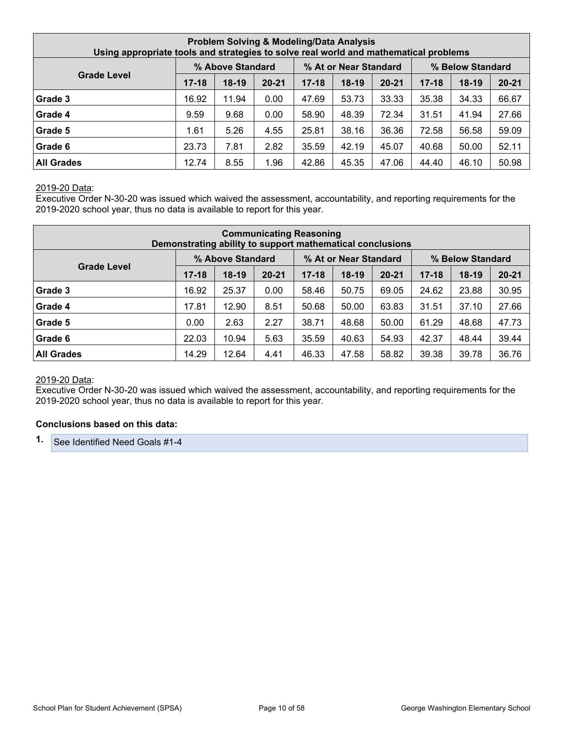| <b>Problem Solving &amp; Modeling/Data Analysis</b><br>Using appropriate tools and strategies to solve real world and mathematical problems |           |                  |           |           |                       |           |           |                  |           |  |
|---------------------------------------------------------------------------------------------------------------------------------------------|-----------|------------------|-----------|-----------|-----------------------|-----------|-----------|------------------|-----------|--|
|                                                                                                                                             |           | % Above Standard |           |           | % At or Near Standard |           |           | % Below Standard |           |  |
| <b>Grade Level</b>                                                                                                                          | $17 - 18$ | $18-19$          | $20 - 21$ | $17 - 18$ | $18-19$               | $20 - 21$ | $17 - 18$ | $18-19$          | $20 - 21$ |  |
| Grade 3                                                                                                                                     | 16.92     | 11.94            | 0.00      | 47.69     | 53.73                 | 33.33     | 35.38     | 34.33            | 66.67     |  |
| Grade 4                                                                                                                                     | 9.59      | 9.68             | 0.00      | 58.90     | 48.39                 | 72.34     | 31.51     | 41.94            | 27.66     |  |
| Grade 5                                                                                                                                     | 1.61      | 5.26             | 4.55      | 25.81     | 38.16                 | 36.36     | 72.58     | 56.58            | 59.09     |  |
| Grade 6                                                                                                                                     | 23.73     | 7.81             | 2.82      | 35.59     | 42.19                 | 45.07     | 40.68     | 50.00            | 52.11     |  |
| <b>All Grades</b>                                                                                                                           | 12.74     | 8.55             | 1.96      | 42.86     | 45.35                 | 47.06     | 44.40     | 46.10            | 50.98     |  |

Executive Order N-30-20 was issued which waived the assessment, accountability, and reporting requirements for the 2019-2020 school year, thus no data is available to report for this year.

| <b>Communicating Reasoning</b><br>Demonstrating ability to support mathematical conclusions |           |                  |           |           |                       |           |           |                  |           |  |
|---------------------------------------------------------------------------------------------|-----------|------------------|-----------|-----------|-----------------------|-----------|-----------|------------------|-----------|--|
|                                                                                             |           | % Above Standard |           |           | % At or Near Standard |           |           | % Below Standard |           |  |
| <b>Grade Level</b>                                                                          | $17 - 18$ | $18-19$          | $20 - 21$ | $17 - 18$ | $18-19$               | $20 - 21$ | $17 - 18$ | $18-19$          | $20 - 21$ |  |
| Grade 3                                                                                     | 16.92     | 25.37            | 0.00      | 58.46     | 50.75                 | 69.05     | 24.62     | 23.88            | 30.95     |  |
| Grade 4                                                                                     | 17.81     | 12.90            | 8.51      | 50.68     | 50.00                 | 63.83     | 31.51     | 37.10            | 27.66     |  |
| Grade 5                                                                                     | 0.00      | 2.63             | 2.27      | 38.71     | 48.68                 | 50.00     | 61.29     | 48.68            | 47.73     |  |
| Grade 6                                                                                     | 22.03     | 10.94            | 5.63      | 35.59     | 40.63                 | 54.93     | 42.37     | 48.44            | 39.44     |  |
| <b>All Grades</b>                                                                           | 14.29     | 12.64            | 4.41      | 46.33     | 47.58                 | 58.82     | 39.38     | 39.78            | 36.76     |  |

#### 2019-20 Data:

Executive Order N-30-20 was issued which waived the assessment, accountability, and reporting requirements for the 2019-2020 school year, thus no data is available to report for this year.

#### **Conclusions based on this data:**

**1.** See Identified Need Goals #1-4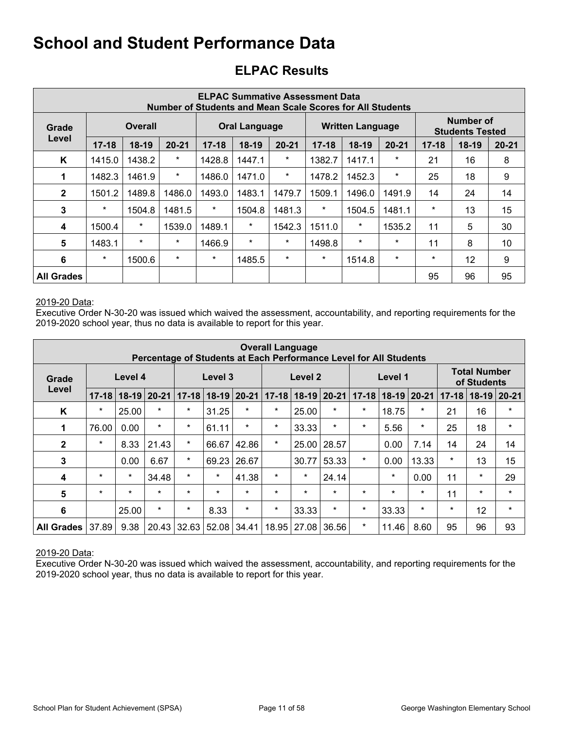## **ELPAC Results**

| <b>ELPAC Summative Assessment Data</b><br><b>Number of Students and Mean Scale Scores for All Students</b> |           |         |           |           |                      |           |           |                         |           |           |                                            |           |
|------------------------------------------------------------------------------------------------------------|-----------|---------|-----------|-----------|----------------------|-----------|-----------|-------------------------|-----------|-----------|--------------------------------------------|-----------|
| Grade                                                                                                      |           | Overall |           |           | <b>Oral Language</b> |           |           | <b>Written Language</b> |           |           | <b>Number of</b><br><b>Students Tested</b> |           |
| Level                                                                                                      | $17 - 18$ | $18-19$ | $20 - 21$ | $17 - 18$ | $18-19$              | $20 - 21$ | $17 - 18$ | $18-19$                 | $20 - 21$ | $17 - 18$ | $18-19$                                    | $20 - 21$ |
| K                                                                                                          | 1415.0    | 1438.2  | *         | 1428.8    | 1447.1               | $\ast$    | 1382.7    | 1417.1                  | $\star$   | 21        | 16                                         | 8         |
| 1                                                                                                          | 1482.3    | 1461.9  | *         | 1486.0    | 1471.0               | $\ast$    | 1478.2    | 1452.3                  | $\ast$    | 25        | 18                                         | 9         |
| $\overline{2}$                                                                                             | 1501.2    | 1489.8  | 1486.0    | 1493.0    | 1483.1               | 1479.7    | 1509.1    | 1496.0                  | 1491.9    | 14        | 24                                         | 14        |
| 3                                                                                                          | $\star$   | 1504.8  | 1481.5    | $\star$   | 1504.8               | 1481.3    | $\star$   | 1504.5                  | 1481.1    | $\ast$    | 13                                         | 15        |
| 4                                                                                                          | 1500.4    | $\star$ | 1539.0    | 1489.1    | $\star$              | 1542.3    | 1511.0    | $\ast$                  | 1535.2    | 11        | 5                                          | 30        |
| 5                                                                                                          | 1483.1    | $\star$ | $\star$   | 1466.9    | $\star$              | $\ast$    | 1498.8    | $\star$                 | $\star$   | 11        | 8                                          | 10        |
| 6                                                                                                          | $\star$   | 1500.6  | *         | $\star$   | 1485.5               | $\ast$    | $\star$   | 1514.8                  | $\star$   | $\ast$    | 12                                         | 9         |
| <b>All Grades</b>                                                                                          |           |         |           |           |                      |           |           |                         |           | 95        | 96                                         | 95        |

#### 2019-20 Data:

Executive Order N-30-20 was issued which waived the assessment, accountability, and reporting requirements for the 2019-2020 school year, thus no data is available to report for this year.

| <b>Overall Language</b><br>Percentage of Students at Each Performance Level for All Students |           |         |               |           |         |           |                                 |         |         |           |         |               |           |                                    |          |
|----------------------------------------------------------------------------------------------|-----------|---------|---------------|-----------|---------|-----------|---------------------------------|---------|---------|-----------|---------|---------------|-----------|------------------------------------|----------|
| Grade                                                                                        |           | Level 4 |               |           | Level 3 |           |                                 | Level 2 |         |           | Level 1 |               |           | <b>Total Number</b><br>of Students |          |
| Level                                                                                        | $17 - 18$ |         | $18-19$ 20-21 | $17 - 18$ | $18-19$ | $20 - 21$ | $17 - 18$<br>$18 - 19$<br>20-21 |         |         | $17 - 18$ |         | $18-19$ 20-21 | $17 - 18$ | $18-19$                            | $ 20-21$ |
| K                                                                                            | $\star$   | 25.00   | $\star$       | $\star$   | 31.25   | $\star$   | $\star$                         | 25.00   | $\star$ | $\star$   | 18.75   | $\star$       | 21        | 16                                 | $\star$  |
| 1                                                                                            | 76.00     | 0.00    | $\star$       | $\star$   | 61.11   | $\star$   | $\star$                         | 33.33   | $\star$ | $\star$   | 5.56    | $\star$       | 25        | 18                                 | $\star$  |
| $\mathbf{2}$                                                                                 | $\star$   | 8.33    | 21.43         | $\star$   | 66.67   | 42.86     | $\star$                         | 25.00   | 28.57   |           | 0.00    | 7.14          | 14        | 24                                 | 14       |
| 3                                                                                            |           | 0.00    | 6.67          | $\star$   | 69.23   | 26.67     |                                 | 30.77   | 53.33   | $\star$   | 0.00    | 13.33         | $\star$   | 13                                 | 15       |
| 4                                                                                            | $\star$   | $\star$ | 34.48         | $\star$   | $\star$ | 41.38     | $\star$                         | $\star$ | 24.14   |           | $\ast$  | 0.00          | 11        | $\star$                            | 29       |
| $5\phantom{1}$                                                                               | $\star$   | $\star$ | $\star$       | $\star$   | $\star$ | $\star$   | $\star$                         | $\star$ | $\star$ | $\star$   | $\star$ | $\star$       | 11        | $\star$                            | $\star$  |
| $6\phantom{1}6$                                                                              |           | 25.00   | $\star$       | $\star$   | 8.33    | $\star$   | $\star$                         | 33.33   | $\star$ | $\star$   | 33.33   | $\star$       | $\star$   | 12                                 | $\star$  |
| <b>All Grades</b>                                                                            | 37.89     | 9.38    | 20.43         | 32.63     | 52.08   | 34.41     | 18.95                           | 27.08   | 36.56   | $\star$   | 11.46   | 8.60          | 95        | 96                                 | 93       |

2019-20 Data: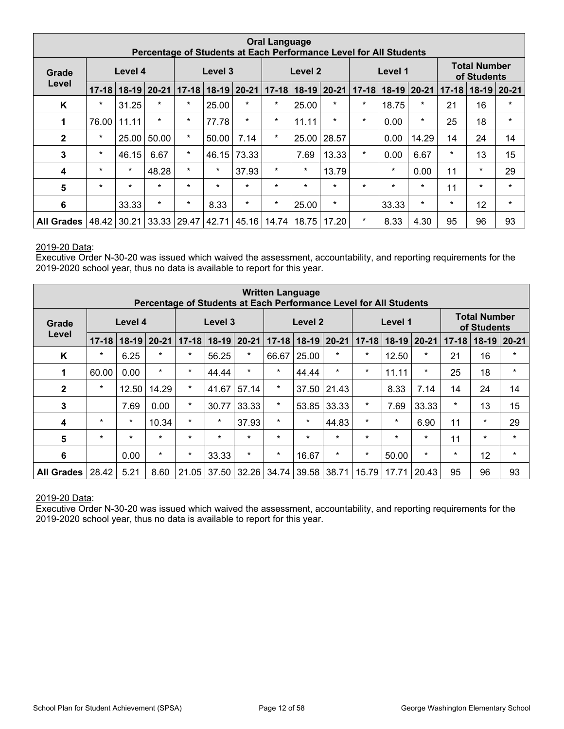| <b>Oral Language</b><br>Percentage of Students at Each Performance Level for All Students |           |           |         |           |           |           |           |                                                  |         |         |         |           |         |                                    |         |
|-------------------------------------------------------------------------------------------|-----------|-----------|---------|-----------|-----------|-----------|-----------|--------------------------------------------------|---------|---------|---------|-----------|---------|------------------------------------|---------|
| Grade                                                                                     |           | Level 4   |         |           | Level 3   |           |           | Level 2                                          |         |         | Level 1 |           |         | <b>Total Number</b><br>of Students |         |
| Level                                                                                     | $17 - 18$ | $18 - 19$ | $20-21$ | $17 - 18$ | $18 - 19$ | $20 - 21$ | $17 - 18$ | $18 - 19$<br>20-21<br>$17 - 18$<br>$18-19$ 20-21 |         |         |         | $17 - 18$ | $18-19$ | $ 20-21$                           |         |
| Κ                                                                                         | $\star$   | 31.25     | $\star$ | $\star$   | 25.00     | $\star$   | $\star$   | 25.00                                            | $\star$ | $\star$ | 18.75   | $\star$   | 21      | 16                                 | $\star$ |
| 1                                                                                         | 76.00     | 11.11     | $\star$ | $\star$   | 77.78     | $\star$   | $\star$   | 11.11                                            | $\star$ | $\star$ | 0.00    | $\ast$    | 25      | 18                                 | *       |
| $\mathbf{2}$                                                                              | $\star$   | 25.00     | 50.00   | $\star$   | 50.00     | 7.14      | $\star$   | 25.00                                            | 28.57   |         | 0.00    | 14.29     | 14      | 24                                 | 14      |
| 3                                                                                         | $\star$   | 46.15     | 6.67    | $\ast$    | 46.15     | 73.33     |           | 7.69                                             | 13.33   | $\star$ | 0.00    | 6.67      | $\ast$  | 13                                 | 15      |
| 4                                                                                         | $\star$   | $\star$   | 48.28   | $\star$   | $\star$   | 37.93     | $\star$   | $\star$                                          | 13.79   |         | $\star$ | 0.00      | 11      | $\star$                            | 29      |
| 5                                                                                         | $\star$   | $\star$   | $\star$ | $\star$   | $\star$   | $\star$   | $\star$   | $\star$                                          | $\star$ | $\star$ | $\star$ | $\star$   | 11      | $\star$                            | $\star$ |
| 6                                                                                         |           | 33.33     | $\star$ | $\star$   | 8.33      | $\star$   | $\star$   | 25.00                                            | $\star$ |         | 33.33   | $\star$   | $\star$ | 12                                 | $\star$ |
| <b>All Grades</b>                                                                         | 48.42     | 30.21     | 33.33   | 29.47     | 42.71     | 45.16     | 14.74     | 18.75                                            | 17.20   | $\star$ | 8.33    | 4.30      | 95      | 96                                 | 93      |

Executive Order N-30-20 was issued which waived the assessment, accountability, and reporting requirements for the 2019-2020 school year, thus no data is available to report for this year.

| <b>Written Language</b><br>Percentage of Students at Each Performance Level for All Students |           |           |           |           |         |           |                                                          |                    |         |         |         |           |         |                                    |         |
|----------------------------------------------------------------------------------------------|-----------|-----------|-----------|-----------|---------|-----------|----------------------------------------------------------|--------------------|---------|---------|---------|-----------|---------|------------------------------------|---------|
| Grade                                                                                        |           | Level 4   |           |           | Level 3 |           |                                                          | Level <sub>2</sub> |         |         | Level 1 |           |         | <b>Total Number</b><br>of Students |         |
| Level                                                                                        | $17 - 18$ | $18 - 19$ | $20 - 21$ | $17 - 18$ | $18-19$ | $20 - 21$ | $18-19$ 20-21<br>$17 - 18$<br>$18-19$ 20-21<br>$17 - 18$ |                    |         |         |         | $17 - 18$ | $18-19$ | $20 - 21$                          |         |
| K                                                                                            | $\star$   | 6.25      | $\star$   | $\star$   | 56.25   | $\star$   | 66.67                                                    | 25.00              | $\star$ | $\star$ | 12.50   | $\star$   | 21      | 16                                 | $\star$ |
| 1                                                                                            | 60.00     | 0.00      | $\star$   | $\star$   | 44.44   | $\star$   | $\star$                                                  | 44.44              | $\star$ | $\star$ | 11.11   | $\ast$    | 25      | 18                                 | $\star$ |
| $\mathbf{2}$                                                                                 | $\star$   | 12.50     | 14.29     | $\star$   | 41.67   | 57.14     | $\star$                                                  | 37.50              | 21.43   |         | 8.33    | 7.14      | 14      | 24                                 | 14      |
| $\mathbf{3}$                                                                                 |           | 7.69      | 0.00      | $\star$   | 30.77   | 33.33     | $\star$                                                  | 53.85              | 33.33   | $\star$ | 7.69    | 33.33     | $\star$ | 13                                 | 15      |
| 4                                                                                            | $\star$   | $\star$   | 10.34     | $\star$   | $\star$ | 37.93     | $\star$                                                  | $\star$            | 44.83   | $\star$ | $\star$ | 6.90      | 11      | $\star$                            | 29      |
| 5                                                                                            | $\star$   | $\star$   | $\star$   | $\star$   | $\star$ | $\star$   | $\star$                                                  | $\star$            | $\star$ | $\star$ | $\star$ | $\star$   | 11      | $\star$                            | $\star$ |
| $6\phantom{1}6$                                                                              |           | 0.00      | $\star$   | $\star$   | 33.33   | $\star$   | $\star$                                                  | 16.67              | $\star$ | $\star$ | 50.00   | $\star$   | $\star$ | 12                                 | $\star$ |
| <b>All Grades</b>                                                                            | 28.42     | 5.21      | 8.60      | 21.05     | 37.50   | 32.26     | 34.74                                                    | 39.58              | 38.71   | 15.79   | 17.71   | 20.43     | 95      | 96                                 | 93      |

#### 2019-20 Data: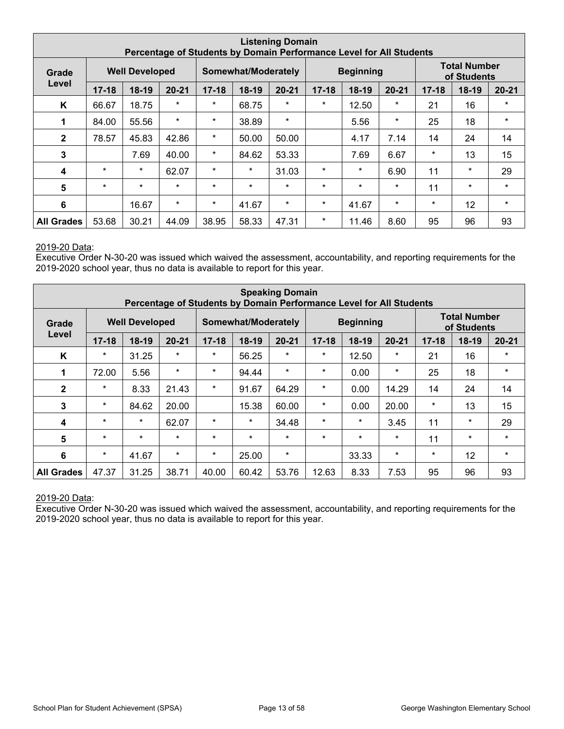|                   | <b>Listening Domain</b><br>Percentage of Students by Domain Performance Level for All Students |                       |           |           |                     |           |           |                  |           |           |                                    |           |
|-------------------|------------------------------------------------------------------------------------------------|-----------------------|-----------|-----------|---------------------|-----------|-----------|------------------|-----------|-----------|------------------------------------|-----------|
| Grade             |                                                                                                | <b>Well Developed</b> |           |           | Somewhat/Moderately |           |           | <b>Beginning</b> |           |           | <b>Total Number</b><br>of Students |           |
| Level             | $17 - 18$                                                                                      | $18-19$               | $20 - 21$ | $17 - 18$ | $18-19$             | $20 - 21$ | $17 - 18$ | $18-19$          | $20 - 21$ | $17 - 18$ | $18-19$                            | $20 - 21$ |
| K                 | 66.67                                                                                          | 18.75                 | $\star$   | $\star$   | 68.75               | $\star$   | $\star$   | 12.50            | $\star$   | 21        | 16                                 | $\star$   |
| 1                 | 84.00                                                                                          | 55.56                 | $\star$   | $\star$   | 38.89               | $\star$   |           | 5.56             | $\star$   | 25        | 18                                 | $\star$   |
| $\overline{2}$    | 78.57                                                                                          | 45.83                 | 42.86     | $\star$   | 50.00               | 50.00     |           | 4.17             | 7.14      | 14        | 24                                 | 14        |
| 3                 |                                                                                                | 7.69                  | 40.00     | $\star$   | 84.62               | 53.33     |           | 7.69             | 6.67      | $\ast$    | 13                                 | 15        |
| 4                 | $\star$                                                                                        | $\star$               | 62.07     | $\star$   | $\star$             | 31.03     | $\star$   | $\star$          | 6.90      | 11        | $\star$                            | 29        |
| 5                 | $\star$                                                                                        | $\star$               | $\star$   | $\star$   | $\star$             | $\star$   | $\star$   | $\star$          | $\star$   | 11        | $\star$                            | $\star$   |
| 6                 |                                                                                                | 16.67                 | $\star$   | $\star$   | 41.67               | $\star$   | $\star$   | 41.67            | $\star$   | $\ast$    | 12                                 | $\star$   |
| <b>All Grades</b> | 53.68                                                                                          | 30.21                 | 44.09     | 38.95     | 58.33               | 47.31     | $\star$   | 11.46            | 8.60      | 95        | 96                                 | 93        |

Executive Order N-30-20 was issued which waived the assessment, accountability, and reporting requirements for the 2019-2020 school year, thus no data is available to report for this year.

| <b>Speaking Domain</b><br>Percentage of Students by Domain Performance Level for All Students |           |                       |           |           |                     |                                                |         |                  |         |           |                                    |           |
|-----------------------------------------------------------------------------------------------|-----------|-----------------------|-----------|-----------|---------------------|------------------------------------------------|---------|------------------|---------|-----------|------------------------------------|-----------|
| Grade                                                                                         |           | <b>Well Developed</b> |           |           | Somewhat/Moderately |                                                |         | <b>Beginning</b> |         |           | <b>Total Number</b><br>of Students |           |
| Level                                                                                         | $17 - 18$ | $18-19$               | $20 - 21$ | $17 - 18$ | $18-19$             | $20 - 21$<br>$17 - 18$<br>$20 - 21$<br>$18-19$ |         |                  |         | $17 - 18$ | 18-19                              | $20 - 21$ |
| K                                                                                             | $\ast$    | 31.25                 | $\star$   | $\star$   | 56.25               | $\star$                                        | $\star$ | 12.50            | $\star$ | 21        | 16                                 | $\star$   |
| 1                                                                                             | 72.00     | 5.56                  | $\star$   | $\star$   | 94.44               | $\star$                                        | $\star$ | 0.00             | $\star$ | 25        | 18                                 | $\star$   |
| $\mathbf{2}$                                                                                  | $\star$   | 8.33                  | 21.43     | $\star$   | 91.67               | 64.29                                          | $\star$ | 0.00             | 14.29   | 14        | 24                                 | 14        |
| 3                                                                                             | $\star$   | 84.62                 | 20.00     |           | 15.38               | 60.00                                          | $\star$ | 0.00             | 20.00   | $\star$   | 13                                 | 15        |
| 4                                                                                             | $\star$   | $\star$               | 62.07     | $\star$   | $\star$             | 34.48                                          | $\star$ | $\ast$           | 3.45    | 11        | $\star$                            | 29        |
| 5                                                                                             | $\star$   | $\star$               | $\star$   | $\star$   | $\star$             | $\star$                                        | $\star$ | $\star$          | $\star$ | 11        | $\star$                            | $\star$   |
| $6\phantom{1}6$                                                                               | $\ast$    | 41.67                 | $\star$   | $\star$   | 25.00               | $\star$                                        |         | 33.33            | $\star$ | $\ast$    | 12                                 | $\star$   |
| <b>All Grades</b>                                                                             | 47.37     | 31.25                 | 38.71     | 40.00     | 60.42               | 53.76                                          | 12.63   | 8.33             | 7.53    | 95        | 96                                 | 93        |

#### 2019-20 Data: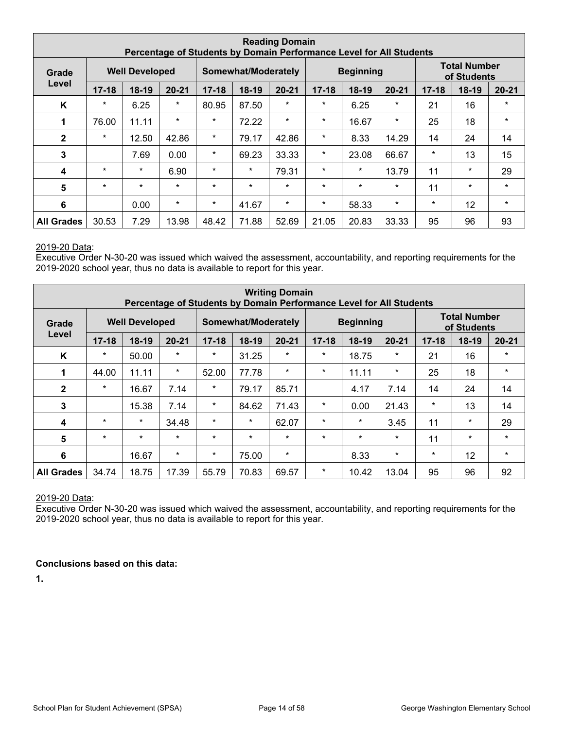|                   | <b>Reading Domain</b><br>Percentage of Students by Domain Performance Level for All Students |                       |           |           |                     |           |                                   |                  |         |           |                                    |           |
|-------------------|----------------------------------------------------------------------------------------------|-----------------------|-----------|-----------|---------------------|-----------|-----------------------------------|------------------|---------|-----------|------------------------------------|-----------|
| Grade             |                                                                                              | <b>Well Developed</b> |           |           | Somewhat/Moderately |           |                                   | <b>Beginning</b> |         |           | <b>Total Number</b><br>of Students |           |
| Level             | $17 - 18$                                                                                    | $18-19$               | $20 - 21$ | $17 - 18$ | 18-19               | $20 - 21$ | $17 - 18$<br>$18-19$<br>$20 - 21$ |                  |         | $17 - 18$ | $18-19$                            | $20 - 21$ |
| K                 | $\star$                                                                                      | 6.25                  | *         | 80.95     | 87.50               | $\star$   | $\star$                           | 6.25             | $\star$ | 21        | 16                                 | $\star$   |
| 1                 | 76.00                                                                                        | 11.11                 | $\star$   | $\star$   | 72.22               | $\star$   | $\star$                           | 16.67            | $\star$ | 25        | 18                                 | $\star$   |
| $\mathbf{2}$      | $\star$                                                                                      | 12.50                 | 42.86     | $\star$   | 79.17               | 42.86     | $\ast$                            | 8.33             | 14.29   | 14        | 24                                 | 14        |
| 3                 |                                                                                              | 7.69                  | 0.00      | $\star$   | 69.23               | 33.33     | $\star$                           | 23.08            | 66.67   | $\star$   | 13                                 | 15        |
| 4                 | $\star$                                                                                      | $\star$               | 6.90      | $\star$   | $\star$             | 79.31     | $\star$                           | $\star$          | 13.79   | 11        | $\star$                            | 29        |
| 5                 | $\star$                                                                                      | $\star$               | $\star$   | $\star$   | $\star$             | $\ast$    | $\star$                           | $\star$          | $\star$ | 11        | $\ast$                             | $\star$   |
| 6                 |                                                                                              | 0.00                  | $\ast$    | $\star$   | 41.67               | $\ast$    | $\ast$                            | 58.33            | $\star$ | $\ast$    | 12                                 | $\star$   |
| <b>All Grades</b> | 30.53                                                                                        | 7.29                  | 13.98     | 48.42     | 71.88               | 52.69     | 21.05                             | 20.83            | 33.33   | 95        | 96                                 | 93        |

Executive Order N-30-20 was issued which waived the assessment, accountability, and reporting requirements for the 2019-2020 school year, thus no data is available to report for this year.

| <b>Writing Domain</b><br>Percentage of Students by Domain Performance Level for All Students |           |                       |           |           |                                                           |         |         |                  |           |         |                                    |         |
|----------------------------------------------------------------------------------------------|-----------|-----------------------|-----------|-----------|-----------------------------------------------------------|---------|---------|------------------|-----------|---------|------------------------------------|---------|
| Grade                                                                                        |           | <b>Well Developed</b> |           |           | Somewhat/Moderately                                       |         |         | <b>Beginning</b> |           |         | <b>Total Number</b><br>of Students |         |
| Level                                                                                        | $17 - 18$ | $18-19$               | $20 - 21$ | $17 - 18$ | $18-19$<br>$20 - 21$<br>$17 - 18$<br>$20 - 21$<br>$18-19$ |         |         |                  | $17 - 18$ | 18-19   | $20 - 21$                          |         |
| K                                                                                            | $\ast$    | 50.00                 | $\star$   | $\star$   | 31.25                                                     | $\star$ | $\star$ | 18.75            | $\star$   | 21      | 16                                 | $\star$ |
| 1                                                                                            | 44.00     | 11.11                 | $\ast$    | 52.00     | 77.78                                                     | $\star$ | $\star$ | 11.11            | $\star$   | 25      | 18                                 | $\star$ |
| $\mathbf{2}$                                                                                 | $\star$   | 16.67                 | 7.14      | $\star$   | 79.17                                                     | 85.71   |         | 4.17             | 7.14      | 14      | 24                                 | 14      |
| $\mathbf{3}$                                                                                 |           | 15.38                 | 7.14      | $\star$   | 84.62                                                     | 71.43   | $\star$ | 0.00             | 21.43     | $\star$ | 13                                 | 14      |
| 4                                                                                            | $\star$   | $\star$               | 34.48     | $\star$   | $\star$                                                   | 62.07   | $\star$ | $\ast$           | 3.45      | 11      | $\star$                            | 29      |
| 5                                                                                            | $\star$   | $\star$               | $\star$   | $\star$   | $\star$                                                   | $\star$ | $\star$ | $\star$          | $\star$   | 11      | $\star$                            | $\star$ |
| $6\phantom{1}6$                                                                              |           | 16.67                 | $\star$   | $\star$   | 75.00                                                     | $\star$ |         | 8.33             | $\star$   | $\ast$  | 12                                 | $\star$ |
| <b>All Grades</b>                                                                            | 34.74     | 18.75                 | 17.39     | 55.79     | 70.83                                                     | 69.57   | $\ast$  | 10.42            | 13.04     | 95      | 96                                 | 92      |

#### 2019-20 Data:

Executive Order N-30-20 was issued which waived the assessment, accountability, and reporting requirements for the 2019-2020 school year, thus no data is available to report for this year.

#### **Conclusions based on this data:**

**1.**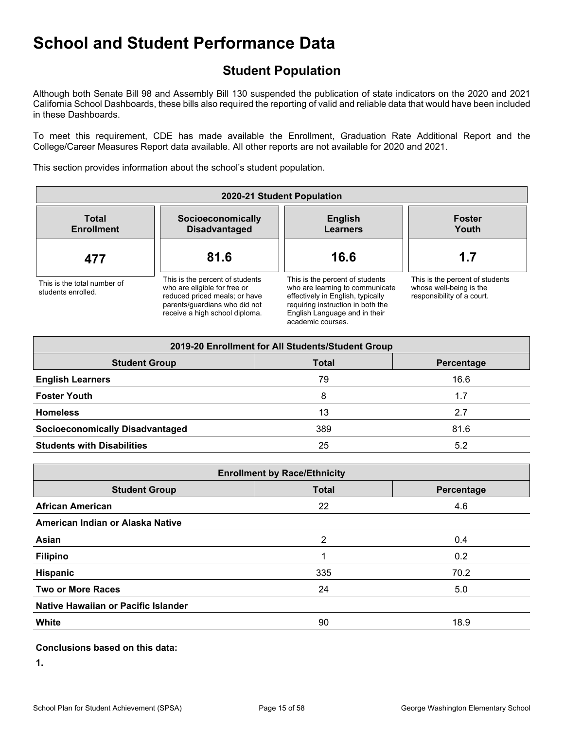## **Student Population**

Although both Senate Bill 98 and Assembly Bill 130 suspended the publication of state indicators on the 2020 and 2021 California School Dashboards, these bills also required the reporting of valid and reliable data that would have been included in these Dashboards.

To meet this requirement, CDE has made available the Enrollment, Graduation Rate Additional Report and the College/Career Measures Report data available. All other reports are not available for 2020 and 2021.

This section provides information about the school's student population.

| 2020-21 Student Population                        |                                                                                                                                                                     |                                                                                                                                                                                                    |                                                                                          |  |  |  |  |  |  |  |
|---------------------------------------------------|---------------------------------------------------------------------------------------------------------------------------------------------------------------------|----------------------------------------------------------------------------------------------------------------------------------------------------------------------------------------------------|------------------------------------------------------------------------------------------|--|--|--|--|--|--|--|
| <b>Total</b><br><b>Enrollment</b>                 | Socioeconomically<br><b>Disadvantaged</b>                                                                                                                           | <b>English</b><br><b>Learners</b>                                                                                                                                                                  | <b>Foster</b><br>Youth                                                                   |  |  |  |  |  |  |  |
| 477                                               | 81.6                                                                                                                                                                | 16.6                                                                                                                                                                                               | 1.7                                                                                      |  |  |  |  |  |  |  |
| This is the total number of<br>students enrolled. | This is the percent of students<br>who are eligible for free or<br>reduced priced meals; or have<br>parents/guardians who did not<br>receive a high school diploma. | This is the percent of students<br>who are learning to communicate<br>effectively in English, typically<br>requiring instruction in both the<br>English Language and in their<br>academic courses. | This is the percent of students<br>whose well-being is the<br>responsibility of a court. |  |  |  |  |  |  |  |

| 2019-20 Enrollment for All Students/Student Group |              |            |  |  |
|---------------------------------------------------|--------------|------------|--|--|
| <b>Student Group</b>                              | <b>Total</b> | Percentage |  |  |
| <b>English Learners</b>                           | 79           | 16.6       |  |  |
| <b>Foster Youth</b>                               | 8            | 1.7        |  |  |
| <b>Homeless</b>                                   | 13           | 2.7        |  |  |
| <b>Socioeconomically Disadvantaged</b>            | 389          | 81.6       |  |  |
| <b>Students with Disabilities</b>                 | 25           | 5.2        |  |  |

| <b>Enrollment by Race/Ethnicity</b> |              |            |  |
|-------------------------------------|--------------|------------|--|
| <b>Student Group</b>                | <b>Total</b> | Percentage |  |
| <b>African American</b>             | 22           | 4.6        |  |
| American Indian or Alaska Native    |              |            |  |
| Asian                               | 2            | 0.4        |  |
| <b>Filipino</b>                     |              | 0.2        |  |
| Hispanic                            | 335          | 70.2       |  |
| <b>Two or More Races</b>            | 24           | 5.0        |  |
| Native Hawaiian or Pacific Islander |              |            |  |
| White                               | 90           | 18.9       |  |

#### **Conclusions based on this data:**

**1.**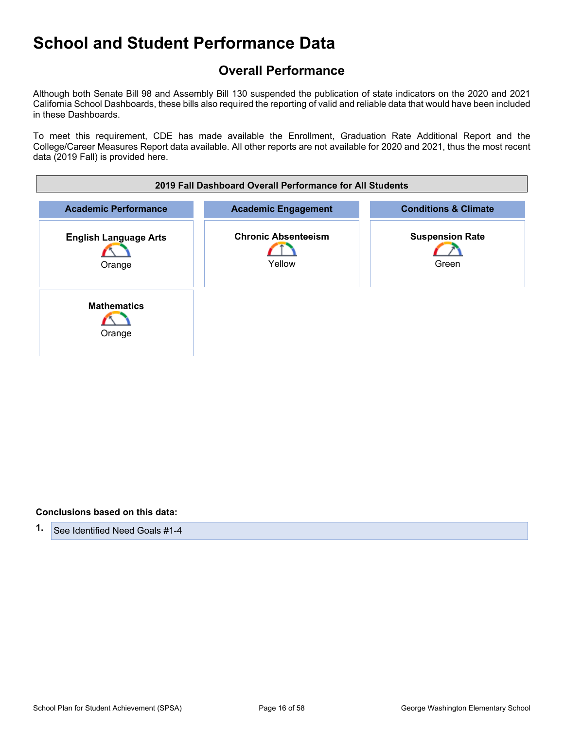## **Overall Performance**

Although both Senate Bill 98 and Assembly Bill 130 suspended the publication of state indicators on the 2020 and 2021 California School Dashboards, these bills also required the reporting of valid and reliable data that would have been included in these Dashboards.

To meet this requirement, CDE has made available the Enrollment, Graduation Rate Additional Report and the College/Career Measures Report data available. All other reports are not available for 2020 and 2021, thus the most recent data (2019 Fall) is provided here.

| 2019 Fall Dashboard Overall Performance for All Students |                                      |                                 |  |
|----------------------------------------------------------|--------------------------------------|---------------------------------|--|
| <b>Academic Performance</b>                              | <b>Academic Engagement</b>           | <b>Conditions &amp; Climate</b> |  |
| <b>English Language Arts</b><br>Orange                   | <b>Chronic Absenteeism</b><br>Yellow | <b>Suspension Rate</b><br>Green |  |
| <b>Mathematics</b><br>Orange                             |                                      |                                 |  |

#### **Conclusions based on this data:**

**1.** See Identified Need Goals #1-4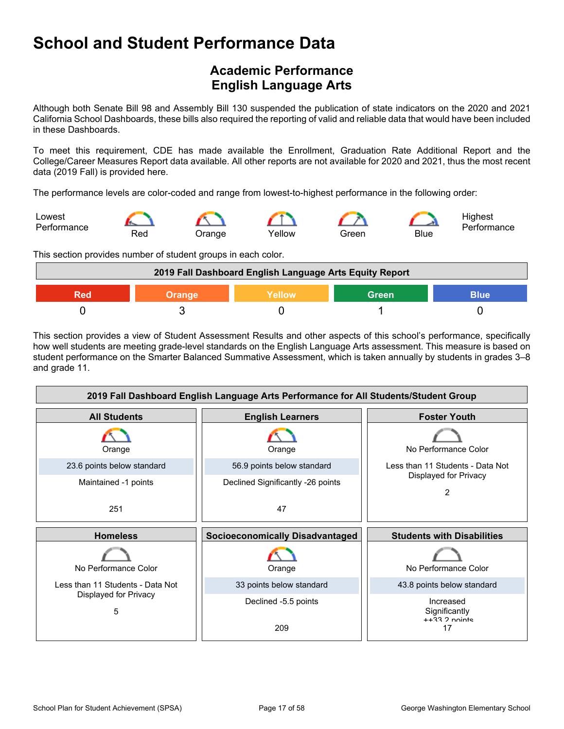## **Academic Performance English Language Arts**

Although both Senate Bill 98 and Assembly Bill 130 suspended the publication of state indicators on the 2020 and 2021 California School Dashboards, these bills also required the reporting of valid and reliable data that would have been included in these Dashboards.

To meet this requirement, CDE has made available the Enrollment, Graduation Rate Additional Report and the College/Career Measures Report data available. All other reports are not available for 2020 and 2021, thus the most recent data (2019 Fall) is provided here.

The performance levels are color-coded and range from lowest-to-highest performance in the following order:



This section provides number of student groups in each color.

| 2019 Fall Dashboard English Language Arts Equity Report |        |         |              |      |
|---------------------------------------------------------|--------|---------|--------------|------|
| Red                                                     | Orange | ∖Yellow | <b>Green</b> | Blue |
|                                                         |        |         |              |      |

This section provides a view of Student Assessment Results and other aspects of this school's performance, specifically how well students are meeting grade-level standards on the English Language Arts assessment. This measure is based on student performance on the Smarter Balanced Summative Assessment, which is taken annually by students in grades 3–8 and grade 11.

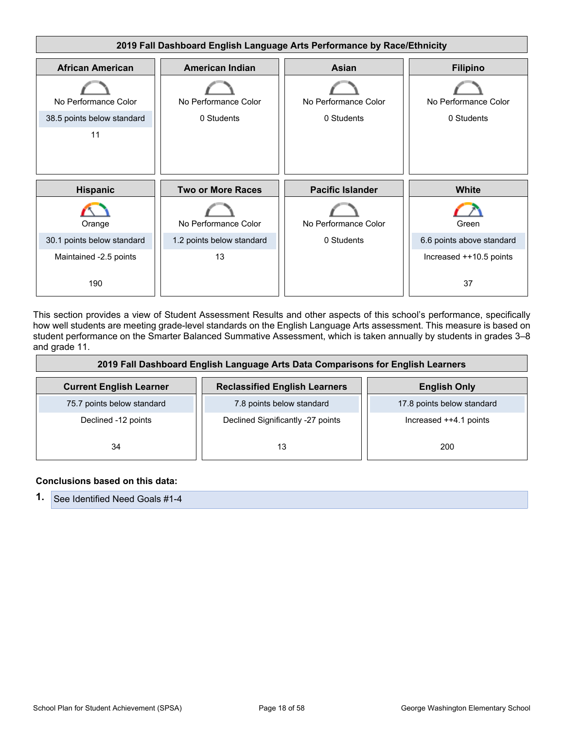

This section provides a view of Student Assessment Results and other aspects of this school's performance, specifically how well students are meeting grade-level standards on the English Language Arts assessment. This measure is based on student performance on the Smarter Balanced Summative Assessment, which is taken annually by students in grades 3–8 and grade 11.

| 2019 Fall Dashboard English Language Arts Data Comparisons for English Learners |                                      |                            |  |
|---------------------------------------------------------------------------------|--------------------------------------|----------------------------|--|
| <b>Current English Learner</b>                                                  | <b>Reclassified English Learners</b> | <b>English Only</b>        |  |
| 75.7 points below standard                                                      | 7.8 points below standard            | 17.8 points below standard |  |
| Declined -12 points                                                             | Declined Significantly -27 points    | Increased $++4.1$ points   |  |
| 34                                                                              | 13                                   | 200                        |  |

#### **Conclusions based on this data:**

| 1. See Identified Need Goals #1-4 |
|-----------------------------------|
|-----------------------------------|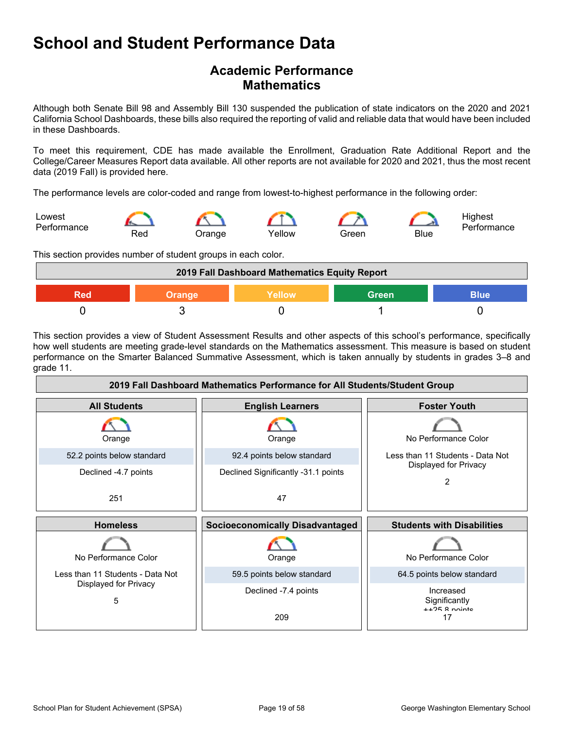### **Academic Performance Mathematics**

Although both Senate Bill 98 and Assembly Bill 130 suspended the publication of state indicators on the 2020 and 2021 California School Dashboards, these bills also required the reporting of valid and reliable data that would have been included in these Dashboards.

To meet this requirement, CDE has made available the Enrollment, Graduation Rate Additional Report and the College/Career Measures Report data available. All other reports are not available for 2020 and 2021, thus the most recent data (2019 Fall) is provided here.

The performance levels are color-coded and range from lowest-to-highest performance in the following order:



This section provides number of student groups in each color.



This section provides a view of Student Assessment Results and other aspects of this school's performance, specifically how well students are meeting grade-level standards on the Mathematics assessment. This measure is based on student performance on the Smarter Balanced Summative Assessment, which is taken annually by students in grades 3–8 and grade 11.

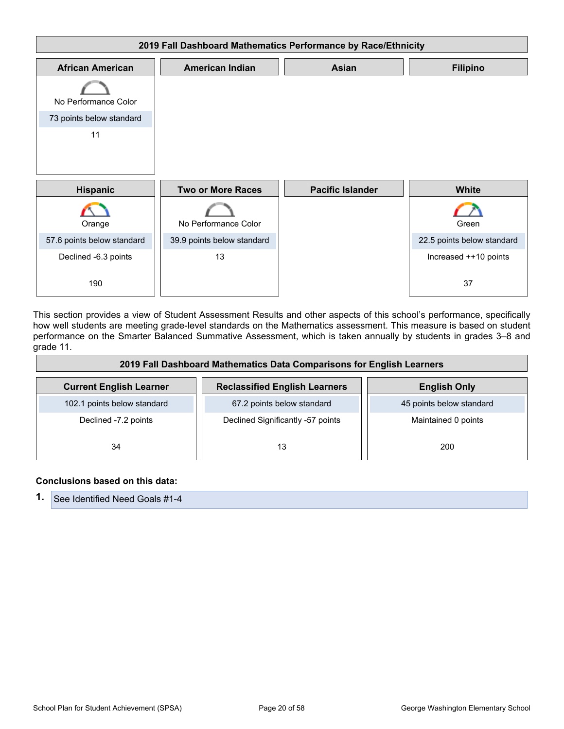

This section provides a view of Student Assessment Results and other aspects of this school's performance, specifically how well students are meeting grade-level standards on the Mathematics assessment. This measure is based on student performance on the Smarter Balanced Summative Assessment, which is taken annually by students in grades 3–8 and grade 11.

| 2019 Fall Dashboard Mathematics Data Comparisons for English Learners |                                      |                          |
|-----------------------------------------------------------------------|--------------------------------------|--------------------------|
| <b>Current English Learner</b>                                        | <b>Reclassified English Learners</b> | <b>English Only</b>      |
| 102.1 points below standard                                           | 67.2 points below standard           | 45 points below standard |
| Declined -7.2 points                                                  | Declined Significantly -57 points    | Maintained 0 points      |
| 34                                                                    | 13                                   | 200                      |

#### **Conclusions based on this data:**

| <b>1.</b> See Identified Need Goals #1-4 |
|------------------------------------------|
|------------------------------------------|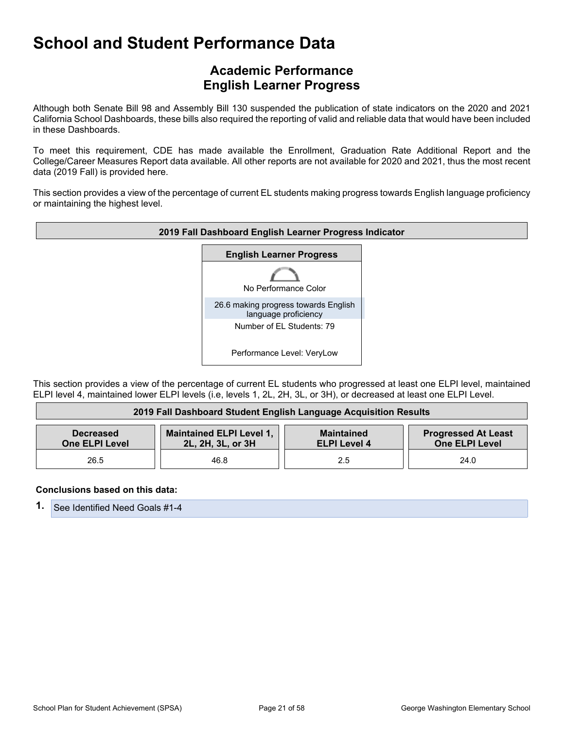### **Academic Performance English Learner Progress**

Although both Senate Bill 98 and Assembly Bill 130 suspended the publication of state indicators on the 2020 and 2021 California School Dashboards, these bills also required the reporting of valid and reliable data that would have been included in these Dashboards.

To meet this requirement, CDE has made available the Enrollment, Graduation Rate Additional Report and the College/Career Measures Report data available. All other reports are not available for 2020 and 2021, thus the most recent data (2019 Fall) is provided here.

This section provides a view of the percentage of current EL students making progress towards English language proficiency or maintaining the highest level.



This section provides a view of the percentage of current EL students who progressed at least one ELPI level, maintained ELPI level 4, maintained lower ELPI levels (i.e, levels 1, 2L, 2H, 3L, or 3H), or decreased at least one ELPI Level.

| 2019 Fall Dashboard Student English Language Acquisition Results |                                                      |                                          |                                                     |
|------------------------------------------------------------------|------------------------------------------------------|------------------------------------------|-----------------------------------------------------|
| <b>Decreased</b><br><b>One ELPI Level</b>                        | <b>Maintained ELPI Level 1,</b><br>2L, 2H, 3L, or 3H | <b>Maintained</b><br><b>ELPI Level 4</b> | <b>Progressed At Least</b><br><b>One ELPI Level</b> |
| 26.5                                                             | 46.8                                                 | 2.5                                      | 24.0                                                |

#### **Conclusions based on this data:**

**1.** See Identified Need Goals #1-4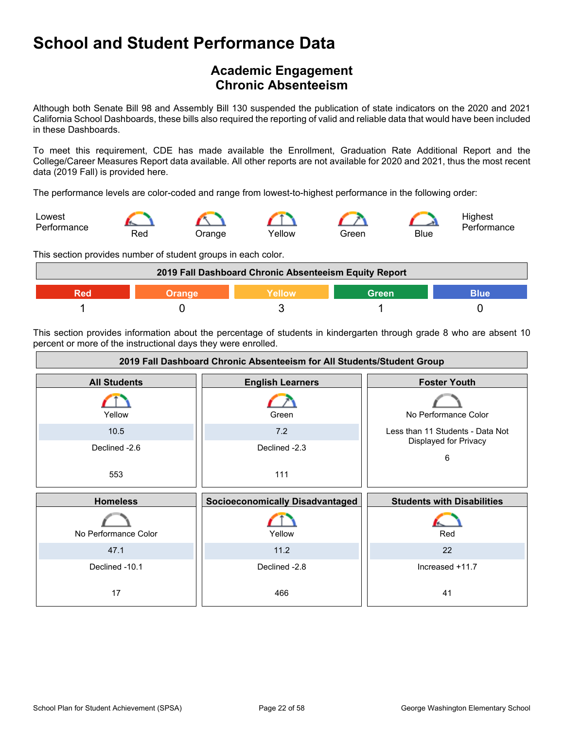### **Academic Engagement Chronic Absenteeism**

Although both Senate Bill 98 and Assembly Bill 130 suspended the publication of state indicators on the 2020 and 2021 California School Dashboards, these bills also required the reporting of valid and reliable data that would have been included in these Dashboards.

To meet this requirement, CDE has made available the Enrollment, Graduation Rate Additional Report and the College/Career Measures Report data available. All other reports are not available for 2020 and 2021, thus the most recent data (2019 Fall) is provided here.

The performance levels are color-coded and range from lowest-to-highest performance in the following order:



This section provides number of student groups in each color.



This section provides information about the percentage of students in kindergarten through grade 8 who are absent 10 percent or more of the instructional days they were enrolled.

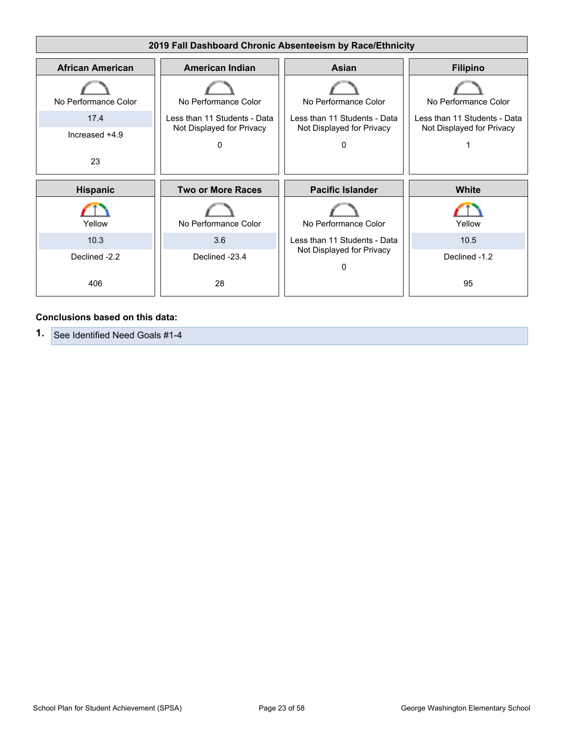

#### **Conclusions based on this data:**

**1.** See Identified Need Goals #1-4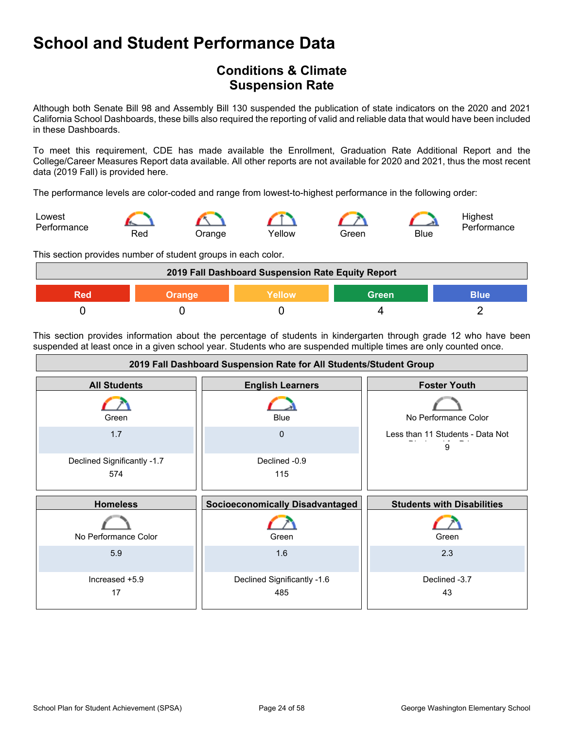### **Conditions & Climate Suspension Rate**

Although both Senate Bill 98 and Assembly Bill 130 suspended the publication of state indicators on the 2020 and 2021 California School Dashboards, these bills also required the reporting of valid and reliable data that would have been included in these Dashboards.

To meet this requirement, CDE has made available the Enrollment, Graduation Rate Additional Report and the College/Career Measures Report data available. All other reports are not available for 2020 and 2021, thus the most recent data (2019 Fall) is provided here.

The performance levels are color-coded and range from lowest-to-highest performance in the following order:



This section provides number of student groups in each color.



This section provides information about the percentage of students in kindergarten through grade 12 who have been suspended at least once in a given school year. Students who are suspended multiple times are only counted once.

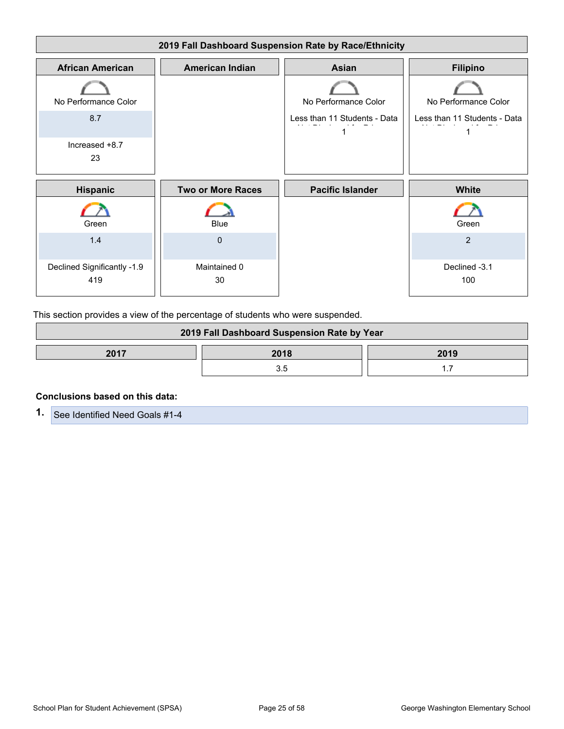

This section provides a view of the percentage of students who were suspended.

| 2019 Fall Dashboard Suspension Rate by Year |  |  |  |
|---------------------------------------------|--|--|--|
| 2017<br>2018<br>2019                        |  |  |  |
|                                             |  |  |  |

#### **Conclusions based on this data:**

**1.** See Identified Need Goals #1-4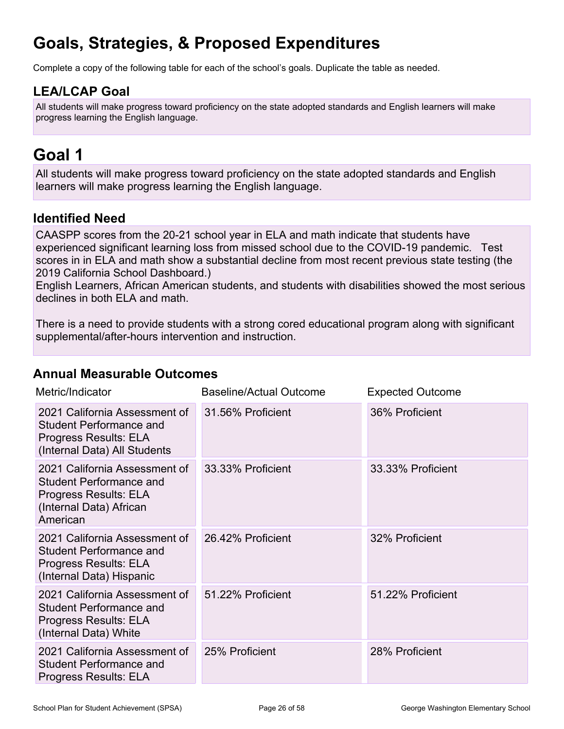## **Goals, Strategies, & Proposed Expenditures**

Complete a copy of the following table for each of the school's goals. Duplicate the table as needed.

### **LEA/LCAP Goal**

All students will make progress toward proficiency on the state adopted standards and English learners will make progress learning the English language.

## **Goal 1**

All students will make progress toward proficiency on the state adopted standards and English learners will make progress learning the English language.

### **Identified Need**

CAASPP scores from the 20-21 school year in ELA and math indicate that students have experienced significant learning loss from missed school due to the COVID-19 pandemic. Test scores in in ELA and math show a substantial decline from most recent previous state testing (the 2019 California School Dashboard.)

English Learners, African American students, and students with disabilities showed the most serious declines in both ELA and math.

There is a need to provide students with a strong cored educational program along with significant supplemental/after-hours intervention and instruction.

### **Annual Measurable Outcomes**

| Metric/Indicator                                                                                                         | Baseline/Actual Outcome | <b>Expected Outcome</b> |
|--------------------------------------------------------------------------------------------------------------------------|-------------------------|-------------------------|
| 2021 California Assessment of<br><b>Student Performance and</b><br>Progress Results: ELA<br>(Internal Data) All Students | 31.56% Proficient       | 36% Proficient          |
| 2021 California Assessment of<br>Student Performance and<br>Progress Results: ELA<br>(Internal Data) African<br>American | 33.33% Proficient       | 33.33% Proficient       |
| 2021 California Assessment of<br><b>Student Performance and</b><br>Progress Results: ELA<br>(Internal Data) Hispanic     | 26.42% Proficient       | 32% Proficient          |
| 2021 California Assessment of<br><b>Student Performance and</b><br>Progress Results: ELA<br>(Internal Data) White        | 51.22% Proficient       | 51.22% Proficient       |
| 2021 California Assessment of<br><b>Student Performance and</b><br>Progress Results: ELA                                 | 25% Proficient          | 28% Proficient          |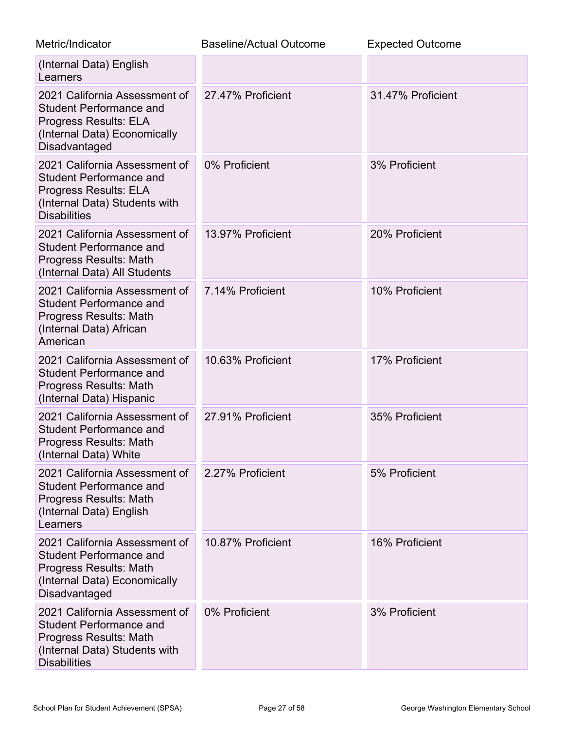| Metric/Indicator                                                                                                                                        | <b>Baseline/Actual Outcome</b> | <b>Expected Outcome</b> |
|---------------------------------------------------------------------------------------------------------------------------------------------------------|--------------------------------|-------------------------|
| (Internal Data) English<br>Learners                                                                                                                     |                                |                         |
| 2021 California Assessment of<br><b>Student Performance and</b><br><b>Progress Results: ELA</b><br>(Internal Data) Economically<br>Disadvantaged        | 27.47% Proficient              | 31.47% Proficient       |
| 2021 California Assessment of<br><b>Student Performance and</b><br><b>Progress Results: ELA</b><br>(Internal Data) Students with<br><b>Disabilities</b> | 0% Proficient                  | 3% Proficient           |
| 2021 California Assessment of<br><b>Student Performance and</b><br>Progress Results: Math<br>(Internal Data) All Students                               | 13.97% Proficient              | 20% Proficient          |
| 2021 California Assessment of<br><b>Student Performance and</b><br>Progress Results: Math<br>(Internal Data) African<br>American                        | 7.14% Proficient               | 10% Proficient          |
| 2021 California Assessment of<br><b>Student Performance and</b><br>Progress Results: Math<br>(Internal Data) Hispanic                                   | 10.63% Proficient              | 17% Proficient          |
| 2021 California Assessment of<br><b>Student Performance and</b><br>Progress Results: Math<br>(Internal Data) White                                      | 27.91% Proficient              | 35% Proficient          |
| 2021 California Assessment of<br><b>Student Performance and</b><br><b>Progress Results: Math</b><br>(Internal Data) English<br>Learners                 | 2.27% Proficient               | 5% Proficient           |
| 2021 California Assessment of<br><b>Student Performance and</b><br>Progress Results: Math<br>(Internal Data) Economically<br>Disadvantaged              | 10.87% Proficient              | 16% Proficient          |
| 2021 California Assessment of<br><b>Student Performance and</b><br>Progress Results: Math<br>(Internal Data) Students with<br><b>Disabilities</b>       | 0% Proficient                  | 3% Proficient           |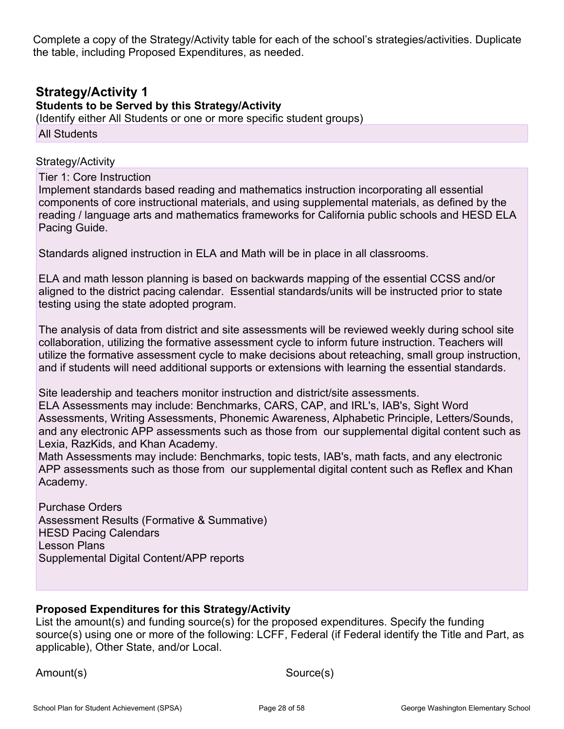Complete a copy of the Strategy/Activity table for each of the school's strategies/activities. Duplicate the table, including Proposed Expenditures, as needed.

### **Strategy/Activity 1**

**Students to be Served by this Strategy/Activity**

(Identify either All Students or one or more specific student groups) All Students

#### Strategy/Activity

Tier 1: Core Instruction

Implement standards based reading and mathematics instruction incorporating all essential components of core instructional materials, and using supplemental materials, as defined by the reading / language arts and mathematics frameworks for California public schools and HESD ELA Pacing Guide.

Standards aligned instruction in ELA and Math will be in place in all classrooms.

ELA and math lesson planning is based on backwards mapping of the essential CCSS and/or aligned to the district pacing calendar. Essential standards/units will be instructed prior to state testing using the state adopted program.

The analysis of data from district and site assessments will be reviewed weekly during school site collaboration, utilizing the formative assessment cycle to inform future instruction. Teachers will utilize the formative assessment cycle to make decisions about reteaching, small group instruction, and if students will need additional supports or extensions with learning the essential standards.

Site leadership and teachers monitor instruction and district/site assessments. ELA Assessments may include: Benchmarks, CARS, CAP, and IRL's, IAB's, Sight Word Assessments, Writing Assessments, Phonemic Awareness, Alphabetic Principle, Letters/Sounds, and any electronic APP assessments such as those from our supplemental digital content such as Lexia, RazKids, and Khan Academy.

Math Assessments may include: Benchmarks, topic tests, IAB's, math facts, and any electronic APP assessments such as those from our supplemental digital content such as Reflex and Khan Academy.

Purchase Orders Assessment Results (Formative & Summative) HESD Pacing Calendars Lesson Plans Supplemental Digital Content/APP reports

#### **Proposed Expenditures for this Strategy/Activity**

List the amount(s) and funding source(s) for the proposed expenditures. Specify the funding source(s) using one or more of the following: LCFF, Federal (if Federal identify the Title and Part, as applicable), Other State, and/or Local.

Amount(s) Source(s)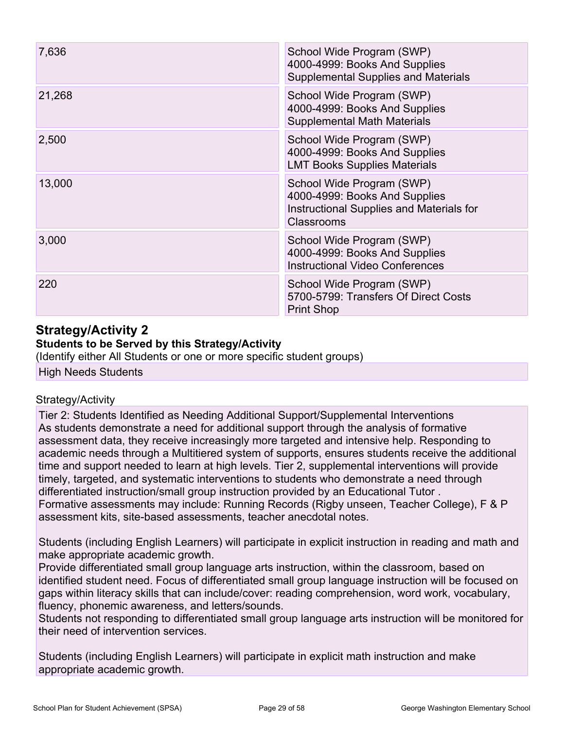| 7,636  | School Wide Program (SWP)<br>4000-4999: Books And Supplies<br><b>Supplemental Supplies and Materials</b>             |
|--------|----------------------------------------------------------------------------------------------------------------------|
| 21,268 | School Wide Program (SWP)<br>4000-4999: Books And Supplies<br><b>Supplemental Math Materials</b>                     |
| 2,500  | School Wide Program (SWP)<br>4000-4999: Books And Supplies<br><b>LMT Books Supplies Materials</b>                    |
| 13,000 | School Wide Program (SWP)<br>4000-4999: Books And Supplies<br>Instructional Supplies and Materials for<br>Classrooms |
| 3,000  | School Wide Program (SWP)<br>4000-4999: Books And Supplies<br><b>Instructional Video Conferences</b>                 |
| 220    | School Wide Program (SWP)<br>5700-5799: Transfers Of Direct Costs<br><b>Print Shop</b>                               |

## **Strategy/Activity 2**

### **Students to be Served by this Strategy/Activity**

(Identify either All Students or one or more specific student groups)

High Needs Students

#### Strategy/Activity

Tier 2: Students Identified as Needing Additional Support/Supplemental Interventions As students demonstrate a need for additional support through the analysis of formative assessment data, they receive increasingly more targeted and intensive help. Responding to academic needs through a Multitiered system of supports, ensures students receive the additional time and support needed to learn at high levels. Tier 2, supplemental interventions will provide timely, targeted, and systematic interventions to students who demonstrate a need through differentiated instruction/small group instruction provided by an Educational Tutor . Formative assessments may include: Running Records (Rigby unseen, Teacher College), F & P assessment kits, site-based assessments, teacher anecdotal notes.

Students (including English Learners) will participate in explicit instruction in reading and math and make appropriate academic growth.

Provide differentiated small group language arts instruction, within the classroom, based on identified student need. Focus of differentiated small group language instruction will be focused on gaps within literacy skills that can include/cover: reading comprehension, word work, vocabulary, fluency, phonemic awareness, and letters/sounds.

Students not responding to differentiated small group language arts instruction will be monitored for their need of intervention services.

Students (including English Learners) will participate in explicit math instruction and make appropriate academic growth.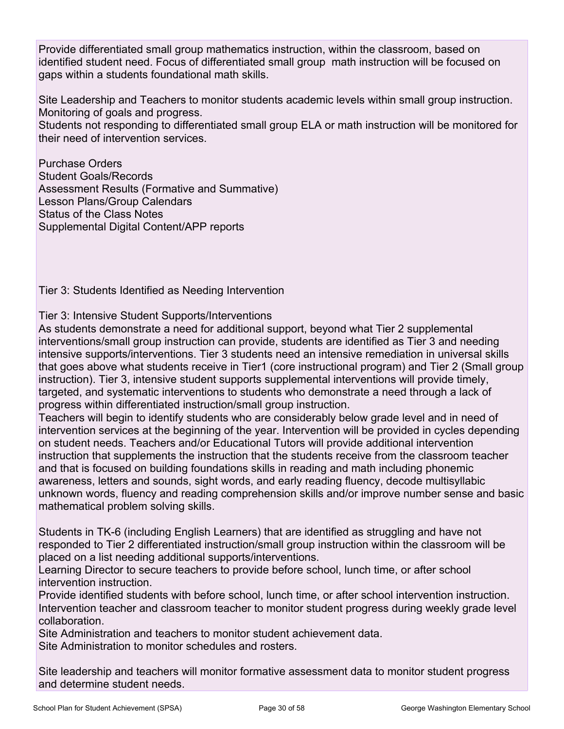Provide differentiated small group mathematics instruction, within the classroom, based on identified student need. Focus of differentiated small group math instruction will be focused on gaps within a students foundational math skills.

Site Leadership and Teachers to monitor students academic levels within small group instruction. Monitoring of goals and progress.

Students not responding to differentiated small group ELA or math instruction will be monitored for their need of intervention services.

Purchase Orders Student Goals/Records Assessment Results (Formative and Summative) Lesson Plans/Group Calendars Status of the Class Notes Supplemental Digital Content/APP reports

Tier 3: Students Identified as Needing Intervention

#### Tier 3: Intensive Student Supports/Interventions

As students demonstrate a need for additional support, beyond what Tier 2 supplemental interventions/small group instruction can provide, students are identified as Tier 3 and needing intensive supports/interventions. Tier 3 students need an intensive remediation in universal skills that goes above what students receive in Tier1 (core instructional program) and Tier 2 (Small group instruction). Tier 3, intensive student supports supplemental interventions will provide timely, targeted, and systematic interventions to students who demonstrate a need through a lack of progress within differentiated instruction/small group instruction.

Teachers will begin to identify students who are considerably below grade level and in need of intervention services at the beginning of the year. Intervention will be provided in cycles depending on student needs. Teachers and/or Educational Tutors will provide additional intervention instruction that supplements the instruction that the students receive from the classroom teacher and that is focused on building foundations skills in reading and math including phonemic awareness, letters and sounds, sight words, and early reading fluency, decode multisyllabic unknown words, fluency and reading comprehension skills and/or improve number sense and basic mathematical problem solving skills.

Students in TK-6 (including English Learners) that are identified as struggling and have not responded to Tier 2 differentiated instruction/small group instruction within the classroom will be placed on a list needing additional supports/interventions.

Learning Director to secure teachers to provide before school, lunch time, or after school intervention instruction.

Provide identified students with before school, lunch time, or after school intervention instruction. Intervention teacher and classroom teacher to monitor student progress during weekly grade level collaboration.

Site Administration and teachers to monitor student achievement data. Site Administration to monitor schedules and rosters.

Site leadership and teachers will monitor formative assessment data to monitor student progress and determine student needs.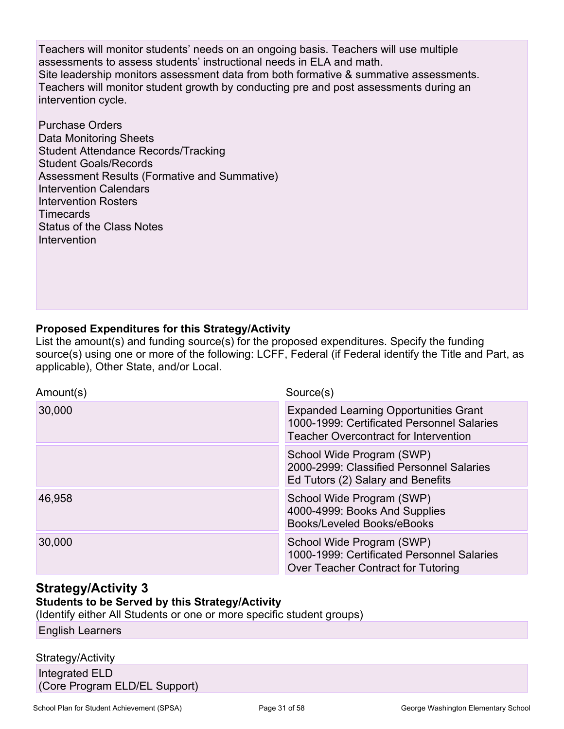Teachers will monitor students' needs on an ongoing basis. Teachers will use multiple assessments to assess students' instructional needs in ELA and math. Site leadership monitors assessment data from both formative & summative assessments. Teachers will monitor student growth by conducting pre and post assessments during an intervention cycle.

Purchase Orders Data Monitoring Sheets Student Attendance Records/Tracking Student Goals/Records Assessment Results (Formative and Summative) Intervention Calendars Intervention Rosters **Timecards** Status of the Class Notes Intervention

### **Proposed Expenditures for this Strategy/Activity**

List the amount(s) and funding source(s) for the proposed expenditures. Specify the funding source(s) using one or more of the following: LCFF, Federal (if Federal identify the Title and Part, as applicable), Other State, and/or Local.

| Amount(s) | Source(s)                                                                                                                                  |
|-----------|--------------------------------------------------------------------------------------------------------------------------------------------|
| 30,000    | <b>Expanded Learning Opportunities Grant</b><br>1000-1999: Certificated Personnel Salaries<br><b>Teacher Overcontract for Intervention</b> |
|           | School Wide Program (SWP)<br>2000-2999: Classified Personnel Salaries<br>Ed Tutors (2) Salary and Benefits                                 |
| 46,958    | School Wide Program (SWP)<br>4000-4999: Books And Supplies<br>Books/Leveled Books/eBooks                                                   |
| 30,000    | School Wide Program (SWP)<br>1000-1999: Certificated Personnel Salaries<br>Over Teacher Contract for Tutoring                              |

### **Strategy/Activity 3**

### **Students to be Served by this Strategy/Activity**

(Identify either All Students or one or more specific student groups)

English Learners

#### Strategy/Activity

Integrated ELD (Core Program ELD/EL Support)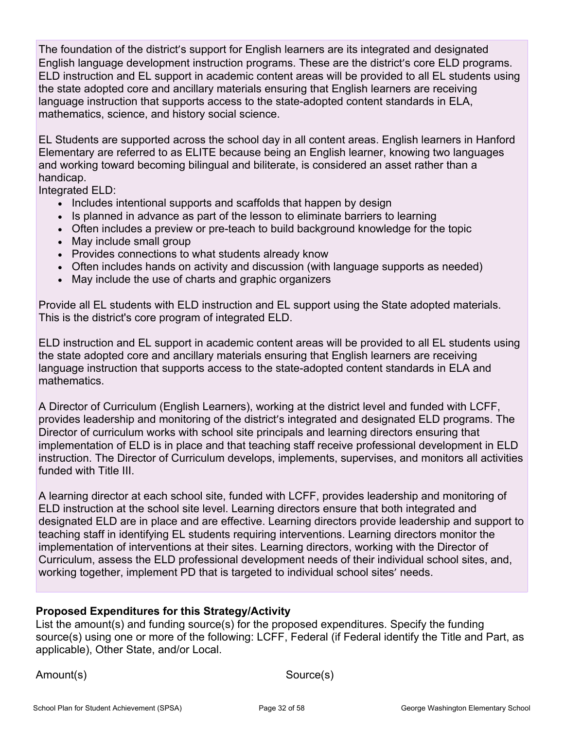The foundation of the district's support for English learners are its integrated and designated English language development instruction programs. These are the district's core ELD programs. ELD instruction and EL support in academic content areas will be provided to all EL students using the state adopted core and ancillary materials ensuring that English learners are receiving language instruction that supports access to the state-adopted content standards in ELA, mathematics, science, and history social science.

EL Students are supported across the school day in all content areas. English learners in Hanford Elementary are referred to as ELITE because being an English learner, knowing two languages and working toward becoming bilingual and biliterate, is considered an asset rather than a handicap.

Integrated ELD:

- Includes intentional supports and scaffolds that happen by design
- Is planned in advance as part of the lesson to eliminate barriers to learning
- Often includes a preview or pre-teach to build background knowledge for the topic
- May include small group
- Provides connections to what students already know
- Often includes hands on activity and discussion (with language supports as needed)
- May include the use of charts and graphic organizers

Provide all EL students with ELD instruction and EL support using the State adopted materials. This is the district's core program of integrated ELD.

ELD instruction and EL support in academic content areas will be provided to all EL students using the state adopted core and ancillary materials ensuring that English learners are receiving language instruction that supports access to the state-adopted content standards in ELA and mathematics.

A Director of Curriculum (English Learners), working at the district level and funded with LCFF, provides leadership and monitoring of the district's integrated and designated ELD programs. The Director of curriculum works with school site principals and learning directors ensuring that implementation of ELD is in place and that teaching staff receive professional development in ELD instruction. The Director of Curriculum develops, implements, supervises, and monitors all activities funded with Title III.

A learning director at each school site, funded with LCFF, provides leadership and monitoring of ELD instruction at the school site level. Learning directors ensure that both integrated and designated ELD are in place and are effective. Learning directors provide leadership and support to teaching staff in identifying EL students requiring interventions. Learning directors monitor the implementation of interventions at their sites. Learning directors, working with the Director of Curriculum, assess the ELD professional development needs of their individual school sites, and, working together, implement PD that is targeted to individual school sites' needs.

### **Proposed Expenditures for this Strategy/Activity**

List the amount(s) and funding source(s) for the proposed expenditures. Specify the funding source(s) using one or more of the following: LCFF, Federal (if Federal identify the Title and Part, as applicable), Other State, and/or Local.

Amount(s) Source(s)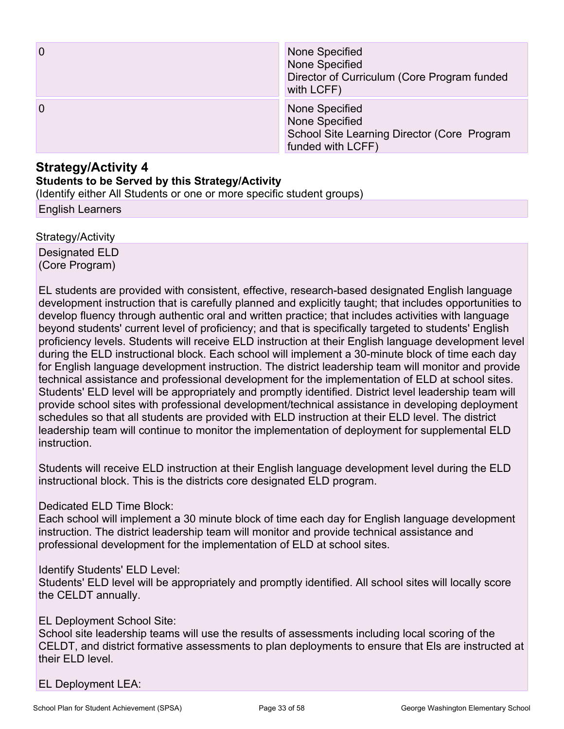| $\overline{0}$ | None Specified<br>None Specified<br>Director of Curriculum (Core Program funded<br>with LCFF)        |
|----------------|------------------------------------------------------------------------------------------------------|
| $\overline{0}$ | None Specified<br>None Specified<br>School Site Learning Director (Core Program<br>funded with LCFF) |

### **Strategy/Activity 4**

#### **Students to be Served by this Strategy/Activity**

(Identify either All Students or one or more specific student groups)

English Learners

Strategy/Activity Designated ELD (Core Program)

EL students are provided with consistent, effective, research-based designated English language development instruction that is carefully planned and explicitly taught; that includes opportunities to develop fluency through authentic oral and written practice; that includes activities with language beyond students' current level of proficiency; and that is specifically targeted to students' English proficiency levels. Students will receive ELD instruction at their English language development level during the ELD instructional block. Each school will implement a 30-minute block of time each day for English language development instruction. The district leadership team will monitor and provide technical assistance and professional development for the implementation of ELD at school sites. Students' ELD level will be appropriately and promptly identified. District level leadership team will provide school sites with professional development/technical assistance in developing deployment schedules so that all students are provided with ELD instruction at their ELD level. The district leadership team will continue to monitor the implementation of deployment for supplemental ELD instruction.

Students will receive ELD instruction at their English language development level during the ELD instructional block. This is the districts core designated ELD program.

#### Dedicated ELD Time Block:

Each school will implement a 30 minute block of time each day for English language development instruction. The district leadership team will monitor and provide technical assistance and professional development for the implementation of ELD at school sites.

#### Identify Students' ELD Level:

Students' ELD level will be appropriately and promptly identified. All school sites will locally score the CELDT annually.

#### EL Deployment School Site:

School site leadership teams will use the results of assessments including local scoring of the CELDT, and district formative assessments to plan deployments to ensure that Els are instructed at their ELD level.

EL Deployment LEA: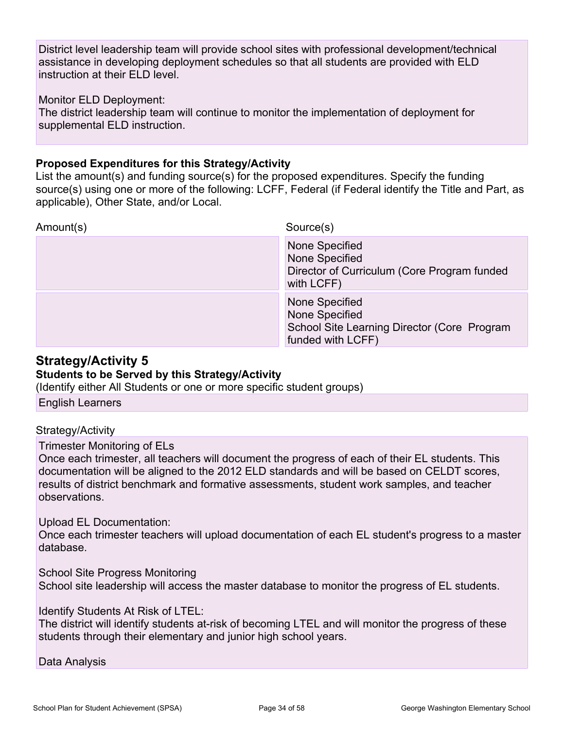District level leadership team will provide school sites with professional development/technical assistance in developing deployment schedules so that all students are provided with ELD instruction at their ELD level.

#### Monitor ELD Deployment:

The district leadership team will continue to monitor the implementation of deployment for supplemental ELD instruction.

#### **Proposed Expenditures for this Strategy/Activity**

List the amount(s) and funding source(s) for the proposed expenditures. Specify the funding source(s) using one or more of the following: LCFF, Federal (if Federal identify the Title and Part, as applicable), Other State, and/or Local.

|           | None Specified<br>None Specified<br>School Site Learning Director (Core Program<br>funded with LCFF) |
|-----------|------------------------------------------------------------------------------------------------------|
|           | None Specified<br>None Specified<br>Director of Curriculum (Core Program funded<br>with LCFF)        |
| Amount(s) | Source(s)                                                                                            |

### **Strategy/Activity 5**

### **Students to be Served by this Strategy/Activity**

(Identify either All Students or one or more specific student groups)

English Learners

#### Strategy/Activity

Trimester Monitoring of ELs

Once each trimester, all teachers will document the progress of each of their EL students. This documentation will be aligned to the 2012 ELD standards and will be based on CELDT scores, results of district benchmark and formative assessments, student work samples, and teacher observations.

#### Upload EL Documentation:

Once each trimester teachers will upload documentation of each EL student's progress to a master database.

School Site Progress Monitoring School site leadership will access the master database to monitor the progress of EL students.

Identify Students At Risk of LTEL:

The district will identify students at-risk of becoming LTEL and will monitor the progress of these students through their elementary and junior high school years.

#### Data Analysis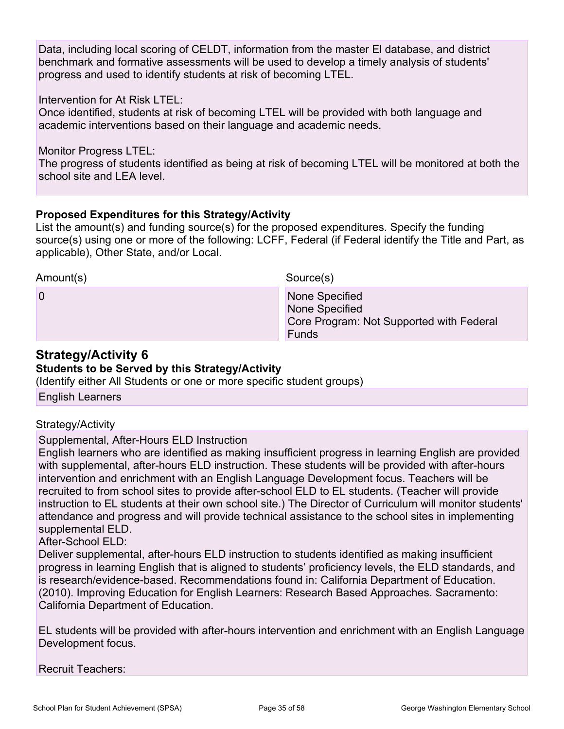Data, including local scoring of CELDT, information from the master El database, and district benchmark and formative assessments will be used to develop a timely analysis of students' progress and used to identify students at risk of becoming LTEL.

Intervention for At Risk LTEL:

Once identified, students at risk of becoming LTEL will be provided with both language and academic interventions based on their language and academic needs.

Monitor Progress LTEL:

The progress of students identified as being at risk of becoming LTEL will be monitored at both the school site and LEA level.

#### **Proposed Expenditures for this Strategy/Activity**

List the amount(s) and funding source(s) for the proposed expenditures. Specify the funding source(s) using one or more of the following: LCFF, Federal (if Federal identify the Title and Part, as applicable), Other State, and/or Local.

Amount(s) Source(s)

0 **None Specified 0** None Specified Core Program: Not Supported with Federal **Funds** 

### **Strategy/Activity 6**

#### **Students to be Served by this Strategy/Activity**

(Identify either All Students or one or more specific student groups)

English Learners

#### Strategy/Activity

#### Supplemental, After-Hours ELD Instruction

English learners who are identified as making insufficient progress in learning English are provided with supplemental, after-hours ELD instruction. These students will be provided with after-hours intervention and enrichment with an English Language Development focus. Teachers will be recruited to from school sites to provide after-school ELD to EL students. (Teacher will provide instruction to EL students at their own school site.) The Director of Curriculum will monitor students' attendance and progress and will provide technical assistance to the school sites in implementing supplemental ELD.

After-School ELD:

Deliver supplemental, after-hours ELD instruction to students identified as making insufficient progress in learning English that is aligned to students' proficiency levels, the ELD standards, and is research/evidence-based. Recommendations found in: California Department of Education. (2010). Improving Education for English Learners: Research Based Approaches. Sacramento: California Department of Education.

EL students will be provided with after-hours intervention and enrichment with an English Language Development focus.

Recruit Teachers: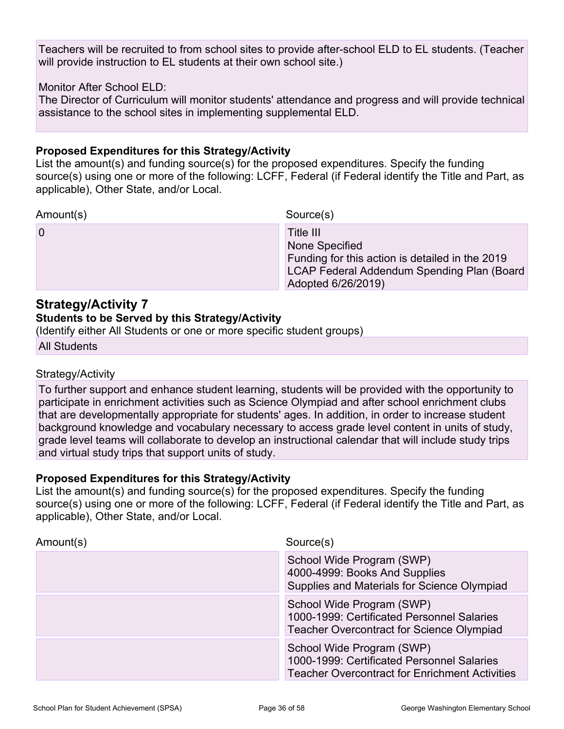Teachers will be recruited to from school sites to provide after-school ELD to EL students. (Teacher will provide instruction to EL students at their own school site.)

#### Monitor After School ELD:

The Director of Curriculum will monitor students' attendance and progress and will provide technical assistance to the school sites in implementing supplemental ELD.

#### **Proposed Expenditures for this Strategy/Activity**

List the amount(s) and funding source(s) for the proposed expenditures. Specify the funding source(s) using one or more of the following: LCFF, Federal (if Federal identify the Title and Part, as applicable), Other State, and/or Local.

Amount(s) Source(s)

0 **D** Title III None Specified Funding for this action is detailed in the 2019 LCAP Federal Addendum Spending Plan (Board Adopted 6/26/2019)

### **Strategy/Activity 7**

#### **Students to be Served by this Strategy/Activity**

(Identify either All Students or one or more specific student groups)

All Students

#### Strategy/Activity

To further support and enhance student learning, students will be provided with the opportunity to participate in enrichment activities such as Science Olympiad and after school enrichment clubs that are developmentally appropriate for students' ages. In addition, in order to increase student background knowledge and vocabulary necessary to access grade level content in units of study, grade level teams will collaborate to develop an instructional calendar that will include study trips and virtual study trips that support units of study.

#### **Proposed Expenditures for this Strategy/Activity**

List the amount(s) and funding source(s) for the proposed expenditures. Specify the funding source(s) using one or more of the following: LCFF, Federal (if Federal identify the Title and Part, as applicable), Other State, and/or Local.

| Amount(s) | Source(s)                                                                                                                        |  |
|-----------|----------------------------------------------------------------------------------------------------------------------------------|--|
|           | School Wide Program (SWP)<br>4000-4999: Books And Supplies<br>Supplies and Materials for Science Olympiad                        |  |
|           | School Wide Program (SWP)<br>1000-1999: Certificated Personnel Salaries<br><b>Teacher Overcontract for Science Olympiad</b>      |  |
|           | School Wide Program (SWP)<br>1000-1999: Certificated Personnel Salaries<br><b>Teacher Overcontract for Enrichment Activities</b> |  |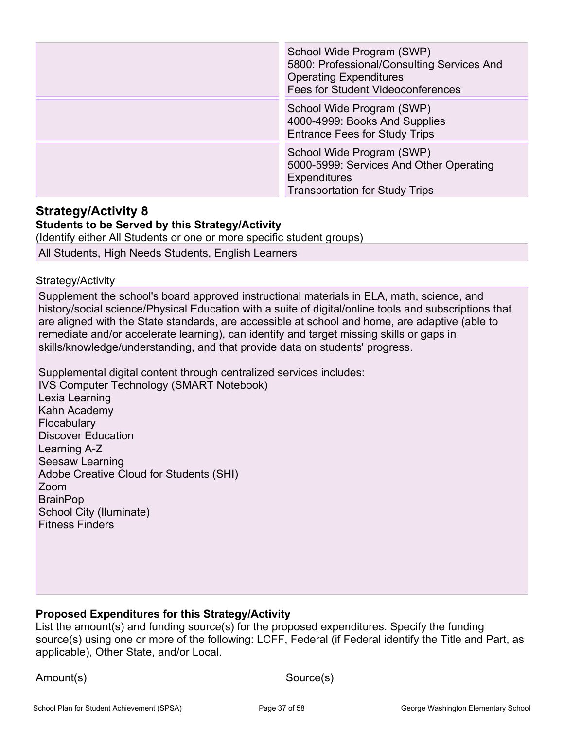| School Wide Program (SWP)<br>5800: Professional/Consulting Services And<br><b>Operating Expenditures</b><br><b>Fees for Student Videoconferences</b> |
|------------------------------------------------------------------------------------------------------------------------------------------------------|
| School Wide Program (SWP)<br>4000-4999: Books And Supplies<br><b>Entrance Fees for Study Trips</b>                                                   |
| School Wide Program (SWP)<br>5000-5999: Services And Other Operating<br><b>Expenditures</b><br><b>Transportation for Study Trips</b>                 |

#### **Strategy/Activity 8 Students to be Served by this Strategy/Activity**

(Identify either All Students or one or more specific student groups) All Students, High Needs Students, English Learners

#### Strategy/Activity

Supplement the school's board approved instructional materials in ELA, math, science, and history/social science/Physical Education with a suite of digital/online tools and subscriptions that are aligned with the State standards, are accessible at school and home, are adaptive (able to remediate and/or accelerate learning), can identify and target missing skills or gaps in skills/knowledge/understanding, and that provide data on students' progress.

Supplemental digital content through centralized services includes:

IVS Computer Technology (SMART Notebook) Lexia Learning Kahn Academy **Flocabulary** Discover Education Learning A-Z Seesaw Learning Adobe Creative Cloud for Students (SHI) Zoom **BrainPop** School City (Iluminate) Fitness Finders

### **Proposed Expenditures for this Strategy/Activity**

List the amount(s) and funding source(s) for the proposed expenditures. Specify the funding source(s) using one or more of the following: LCFF, Federal (if Federal identify the Title and Part, as applicable), Other State, and/or Local.

Amount(s) Source(s)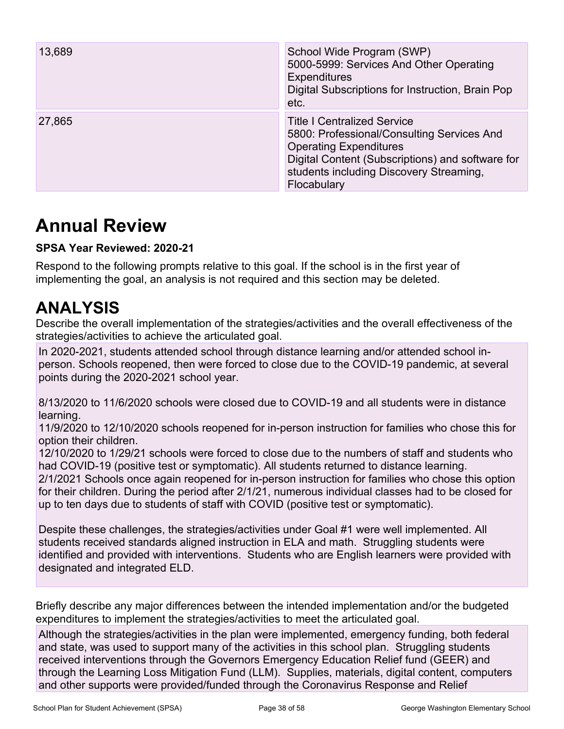| 13,689 | School Wide Program (SWP)<br>5000-5999: Services And Other Operating<br><b>Expenditures</b><br>Digital Subscriptions for Instruction, Brain Pop<br>etc.                                                                         |
|--------|---------------------------------------------------------------------------------------------------------------------------------------------------------------------------------------------------------------------------------|
| 27,865 | <b>Title I Centralized Service</b><br>5800: Professional/Consulting Services And<br><b>Operating Expenditures</b><br>Digital Content (Subscriptions) and software for<br>students including Discovery Streaming,<br>Flocabulary |

## **Annual Review**

### **SPSA Year Reviewed: 2020-21**

Respond to the following prompts relative to this goal. If the school is in the first year of implementing the goal, an analysis is not required and this section may be deleted.

## **ANALYSIS**

Describe the overall implementation of the strategies/activities and the overall effectiveness of the strategies/activities to achieve the articulated goal.

In 2020-2021, students attended school through distance learning and/or attended school inperson. Schools reopened, then were forced to close due to the COVID-19 pandemic, at several points during the 2020-2021 school year.

8/13/2020 to 11/6/2020 schools were closed due to COVID-19 and all students were in distance learning.

11/9/2020 to 12/10/2020 schools reopened for in-person instruction for families who chose this for option their children.

12/10/2020 to 1/29/21 schools were forced to close due to the numbers of staff and students who had COVID-19 (positive test or symptomatic). All students returned to distance learning.

2/1/2021 Schools once again reopened for in-person instruction for families who chose this option for their children. During the period after 2/1/21, numerous individual classes had to be closed for up to ten days due to students of staff with COVID (positive test or symptomatic).

Despite these challenges, the strategies/activities under Goal #1 were well implemented. All students received standards aligned instruction in ELA and math. Struggling students were identified and provided with interventions. Students who are English learners were provided with designated and integrated ELD.

Briefly describe any major differences between the intended implementation and/or the budgeted expenditures to implement the strategies/activities to meet the articulated goal.

Although the strategies/activities in the plan were implemented, emergency funding, both federal and state, was used to support many of the activities in this school plan. Struggling students received interventions through the Governors Emergency Education Relief fund (GEER) and through the Learning Loss Mitigation Fund (LLM). Supplies, materials, digital content, computers and other supports were provided/funded through the Coronavirus Response and Relief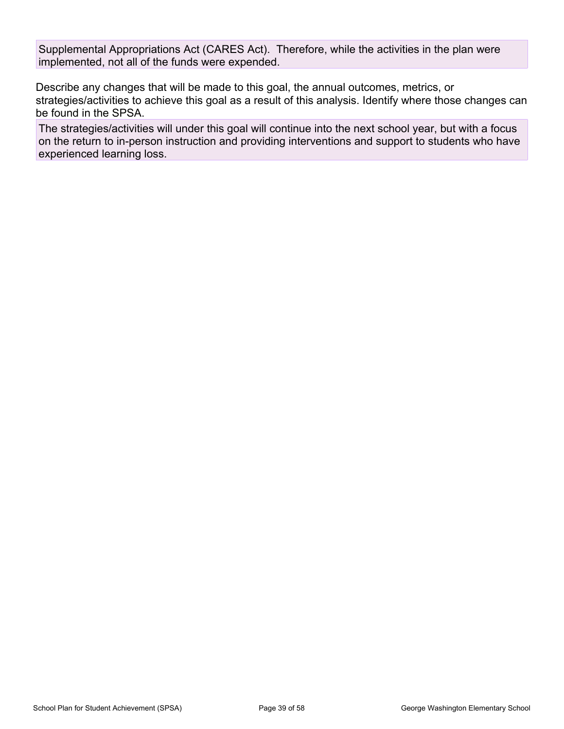Supplemental Appropriations Act (CARES Act). Therefore, while the activities in the plan were implemented, not all of the funds were expended.

Describe any changes that will be made to this goal, the annual outcomes, metrics, or strategies/activities to achieve this goal as a result of this analysis. Identify where those changes can be found in the SPSA.

The strategies/activities will under this goal will continue into the next school year, but with a focus on the return to in-person instruction and providing interventions and support to students who have experienced learning loss.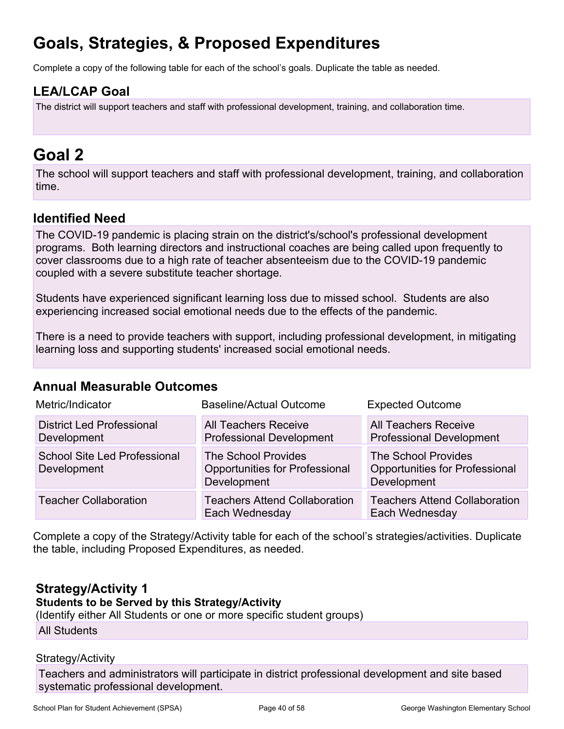## **Goals, Strategies, & Proposed Expenditures**

Complete a copy of the following table for each of the school's goals. Duplicate the table as needed.

### **LEA/LCAP Goal**

The district will support teachers and staff with professional development, training, and collaboration time.

## **Goal 2**

The school will support teachers and staff with professional development, training, and collaboration time.

### **Identified Need**

The COVID-19 pandemic is placing strain on the district's/school's professional development programs. Both learning directors and instructional coaches are being called upon frequently to cover classrooms due to a high rate of teacher absenteeism due to the COVID-19 pandemic coupled with a severe substitute teacher shortage.

Students have experienced significant learning loss due to missed school. Students are also experiencing increased social emotional needs due to the effects of the pandemic.

There is a need to provide teachers with support, including professional development, in mitigating learning loss and supporting students' increased social emotional needs.

### **Annual Measurable Outcomes**

| Metric/Indicator                                   | Baseline/Actual Outcome                                                            | <b>Expected Outcome</b>                                                            |
|----------------------------------------------------|------------------------------------------------------------------------------------|------------------------------------------------------------------------------------|
| <b>District Led Professional</b><br>Development    | <b>All Teachers Receive</b><br><b>Professional Development</b>                     | <b>All Teachers Receive</b><br><b>Professional Development</b>                     |
| <b>School Site Led Professional</b><br>Development | <b>The School Provides</b><br><b>Opportunities for Professional</b><br>Development | <b>The School Provides</b><br><b>Opportunities for Professional</b><br>Development |
| <b>Teacher Collaboration</b>                       | <b>Teachers Attend Collaboration</b><br>Each Wednesday                             | <b>Teachers Attend Collaboration</b><br>Each Wednesday                             |

Complete a copy of the Strategy/Activity table for each of the school's strategies/activities. Duplicate the table, including Proposed Expenditures, as needed.

## **Strategy/Activity 1**

**Students to be Served by this Strategy/Activity**

(Identify either All Students or one or more specific student groups)

All Students

#### Strategy/Activity

Teachers and administrators will participate in district professional development and site based systematic professional development.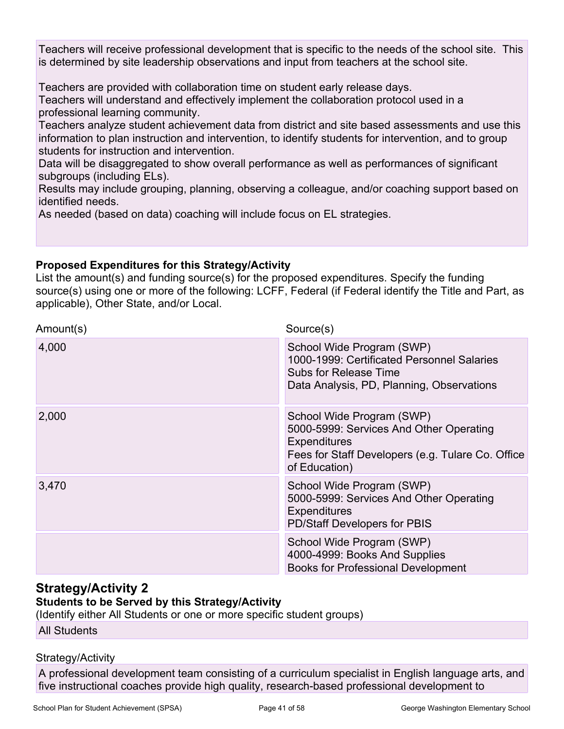Teachers will receive professional development that is specific to the needs of the school site. This is determined by site leadership observations and input from teachers at the school site.

Teachers are provided with collaboration time on student early release days.

Teachers will understand and effectively implement the collaboration protocol used in a professional learning community.

Teachers analyze student achievement data from district and site based assessments and use this information to plan instruction and intervention, to identify students for intervention, and to group students for instruction and intervention.

Data will be disaggregated to show overall performance as well as performances of significant subgroups (including ELs).

Results may include grouping, planning, observing a colleague, and/or coaching support based on identified needs.

As needed (based on data) coaching will include focus on EL strategies.

### **Proposed Expenditures for this Strategy/Activity**

List the amount(s) and funding source(s) for the proposed expenditures. Specify the funding source(s) using one or more of the following: LCFF, Federal (if Federal identify the Title and Part, as applicable), Other State, and/or Local.

| Amount(s) | Source(s)                                                                                                                                                  |
|-----------|------------------------------------------------------------------------------------------------------------------------------------------------------------|
| 4,000     | School Wide Program (SWP)<br>1000-1999: Certificated Personnel Salaries<br>Subs for Release Time<br>Data Analysis, PD, Planning, Observations              |
| 2,000     | School Wide Program (SWP)<br>5000-5999: Services And Other Operating<br>Expenditures<br>Fees for Staff Developers (e.g. Tulare Co. Office<br>of Education) |
| 3,470     | School Wide Program (SWP)<br>5000-5999: Services And Other Operating<br><b>Expenditures</b><br>PD/Staff Developers for PBIS                                |
|           | School Wide Program (SWP)<br>4000-4999: Books And Supplies<br><b>Books for Professional Development</b>                                                    |

### **Strategy/Activity 2**

#### **Students to be Served by this Strategy/Activity**

(Identify either All Students or one or more specific student groups)

All Students

### Strategy/Activity

A professional development team consisting of a curriculum specialist in English language arts, and five instructional coaches provide high quality, research-based professional development to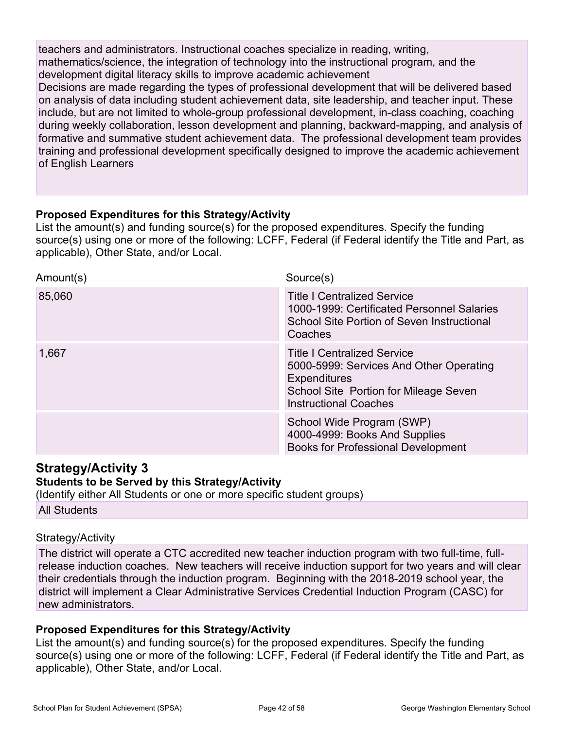teachers and administrators. Instructional coaches specialize in reading, writing, mathematics/science, the integration of technology into the instructional program, and the development digital literacy skills to improve academic achievement

Decisions are made regarding the types of professional development that will be delivered based on analysis of data including student achievement data, site leadership, and teacher input. These include, but are not limited to whole-group professional development, in-class coaching, coaching during weekly collaboration, lesson development and planning, backward-mapping, and analysis of formative and summative student achievement data. The professional development team provides training and professional development specifically designed to improve the academic achievement of English Learners

#### **Proposed Expenditures for this Strategy/Activity**

List the amount(s) and funding source(s) for the proposed expenditures. Specify the funding source(s) using one or more of the following: LCFF, Federal (if Federal identify the Title and Part, as applicable), Other State, and/or Local.

| Amount(s) | Source(s)                                                                                                                                                                     |
|-----------|-------------------------------------------------------------------------------------------------------------------------------------------------------------------------------|
| 85,060    | <b>Title I Centralized Service</b><br>1000-1999: Certificated Personnel Salaries<br>School Site Portion of Seven Instructional<br>Coaches                                     |
| 1,667     | <b>Title I Centralized Service</b><br>5000-5999: Services And Other Operating<br><b>Expenditures</b><br>School Site Portion for Mileage Seven<br><b>Instructional Coaches</b> |
|           | School Wide Program (SWP)<br>4000-4999: Books And Supplies<br><b>Books for Professional Development</b>                                                                       |

### **Strategy/Activity 3**

#### **Students to be Served by this Strategy/Activity**

(Identify either All Students or one or more specific student groups)

All Students

#### Strategy/Activity

The district will operate a CTC accredited new teacher induction program with two full-time, fullrelease induction coaches. New teachers will receive induction support for two years and will clear their credentials through the induction program. Beginning with the 2018-2019 school year, the district will implement a Clear Administrative Services Credential Induction Program (CASC) for new administrators.

#### **Proposed Expenditures for this Strategy/Activity**

List the amount(s) and funding source(s) for the proposed expenditures. Specify the funding source(s) using one or more of the following: LCFF, Federal (if Federal identify the Title and Part, as applicable), Other State, and/or Local.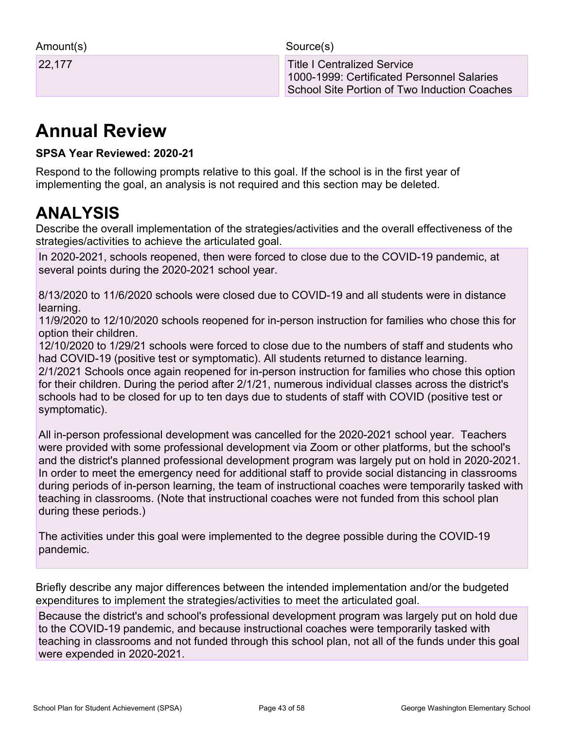| Amount(s) |  |
|-----------|--|
|-----------|--|

Source(s)

22,177 Title I Centralized Service 1000-1999: Certificated Personnel Salaries School Site Portion of Two Induction Coaches

## **Annual Review**

### **SPSA Year Reviewed: 2020-21**

Respond to the following prompts relative to this goal. If the school is in the first year of implementing the goal, an analysis is not required and this section may be deleted.

## **ANALYSIS**

Describe the overall implementation of the strategies/activities and the overall effectiveness of the strategies/activities to achieve the articulated goal.

In 2020-2021, schools reopened, then were forced to close due to the COVID-19 pandemic, at several points during the 2020-2021 school year.

8/13/2020 to 11/6/2020 schools were closed due to COVID-19 and all students were in distance learning.

11/9/2020 to 12/10/2020 schools reopened for in-person instruction for families who chose this for option their children.

12/10/2020 to 1/29/21 schools were forced to close due to the numbers of staff and students who had COVID-19 (positive test or symptomatic). All students returned to distance learning.

2/1/2021 Schools once again reopened for in-person instruction for families who chose this option for their children. During the period after 2/1/21, numerous individual classes across the district's schools had to be closed for up to ten days due to students of staff with COVID (positive test or symptomatic).

All in-person professional development was cancelled for the 2020-2021 school year. Teachers were provided with some professional development via Zoom or other platforms, but the school's and the district's planned professional development program was largely put on hold in 2020-2021. In order to meet the emergency need for additional staff to provide social distancing in classrooms during periods of in-person learning, the team of instructional coaches were temporarily tasked with teaching in classrooms. (Note that instructional coaches were not funded from this school plan during these periods.)

The activities under this goal were implemented to the degree possible during the COVID-19 pandemic.

Briefly describe any major differences between the intended implementation and/or the budgeted expenditures to implement the strategies/activities to meet the articulated goal.

Because the district's and school's professional development program was largely put on hold due to the COVID-19 pandemic, and because instructional coaches were temporarily tasked with teaching in classrooms and not funded through this school plan, not all of the funds under this goal were expended in 2020-2021.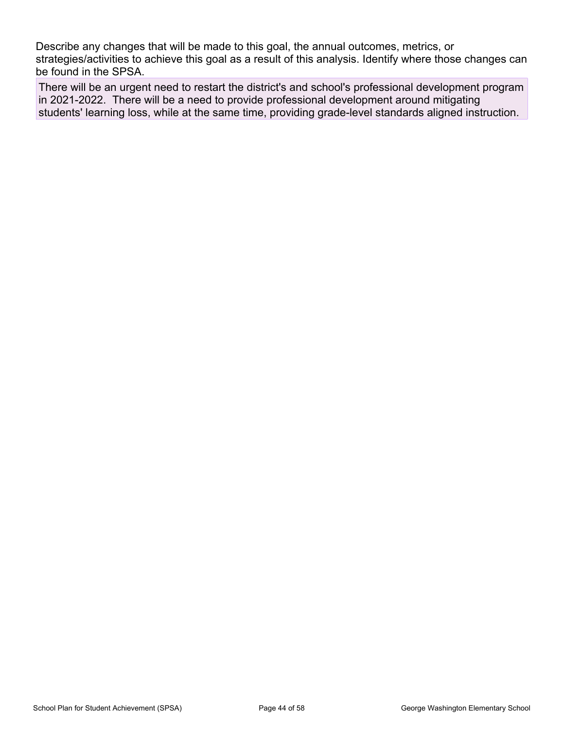Describe any changes that will be made to this goal, the annual outcomes, metrics, or strategies/activities to achieve this goal as a result of this analysis. Identify where those changes can be found in the SPSA.

There will be an urgent need to restart the district's and school's professional development program in 2021-2022. There will be a need to provide professional development around mitigating students' learning loss, while at the same time, providing grade-level standards aligned instruction.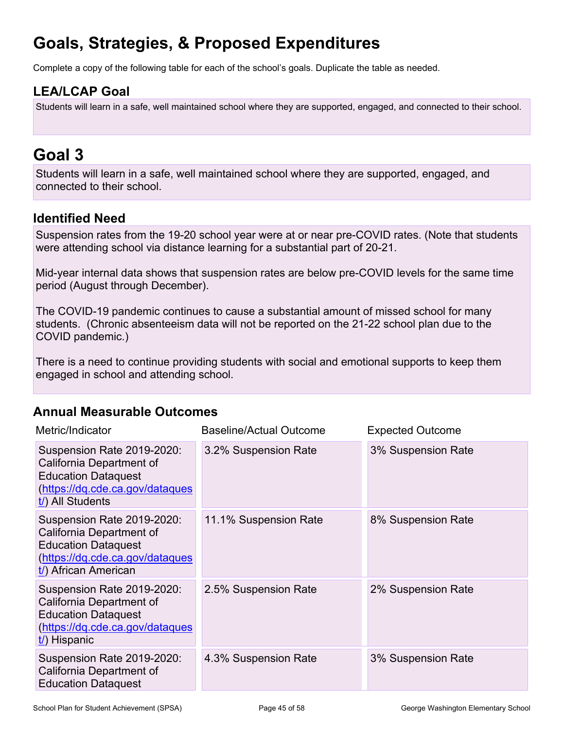## **Goals, Strategies, & Proposed Expenditures**

Complete a copy of the following table for each of the school's goals. Duplicate the table as needed.

### **LEA/LCAP Goal**

Students will learn in a safe, well maintained school where they are supported, engaged, and connected to their school.

## **Goal 3**

Students will learn in a safe, well maintained school where they are supported, engaged, and connected to their school.

### **Identified Need**

Suspension rates from the 19-20 school year were at or near pre-COVID rates. (Note that students were attending school via distance learning for a substantial part of 20-21.

Mid-year internal data shows that suspension rates are below pre-COVID levels for the same time period (August through December).

The COVID-19 pandemic continues to cause a substantial amount of missed school for many students. (Chronic absenteeism data will not be reported on the 21-22 school plan due to the COVID pandemic.)

There is a need to continue providing students with social and emotional supports to keep them engaged in school and attending school.

### **Annual Measurable Outcomes**

| Metric/Indicator                                                                                                                                | <b>Baseline/Actual Outcome</b> | <b>Expected Outcome</b> |
|-------------------------------------------------------------------------------------------------------------------------------------------------|--------------------------------|-------------------------|
| Suspension Rate 2019-2020:<br>California Department of<br><b>Education Dataquest</b><br>(https://dq.cde.ca.gov/dataques<br>$t$ ) All Students   | 3.2% Suspension Rate           | 3% Suspension Rate      |
| Suspension Rate 2019-2020:<br>California Department of<br><b>Education Dataquest</b><br>(https://dq.cde.ca.gov/dataques<br>t/) African American | 11.1% Suspension Rate          | 8% Suspension Rate      |
| Suspension Rate 2019-2020:<br>California Department of<br><b>Education Dataquest</b><br>(https://dq.cde.ca.gov/dataques<br>t/) Hispanic         | 2.5% Suspension Rate           | 2% Suspension Rate      |
| Suspension Rate 2019-2020:<br>California Department of<br><b>Education Dataquest</b>                                                            | 4.3% Suspension Rate           | 3% Suspension Rate      |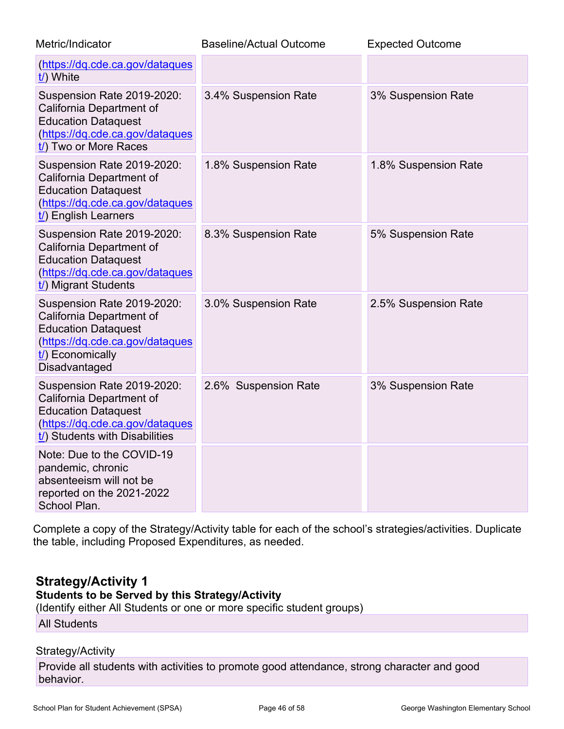| Metric/Indicator                                                                                                                                                       | <b>Baseline/Actual Outcome</b> | <b>Expected Outcome</b> |
|------------------------------------------------------------------------------------------------------------------------------------------------------------------------|--------------------------------|-------------------------|
| (https://dq.cde.ca.gov/dataques<br>t/) White                                                                                                                           |                                |                         |
| Suspension Rate 2019-2020:<br>California Department of<br><b>Education Dataquest</b><br>(https://dq.cde.ca.gov/dataques<br>t/) Two or More Races                       | 3.4% Suspension Rate           | 3% Suspension Rate      |
| Suspension Rate 2019-2020:<br>California Department of<br><b>Education Dataquest</b><br>(https://dq.cde.ca.gov/dataques<br>t/) English Learners                        | 1.8% Suspension Rate           | 1.8% Suspension Rate    |
| Suspension Rate 2019-2020:<br>California Department of<br><b>Education Dataquest</b><br>(https://dq.cde.ca.gov/dataques<br>t/) Migrant Students                        | 8.3% Suspension Rate           | 5% Suspension Rate      |
| Suspension Rate 2019-2020:<br>California Department of<br><b>Education Dataquest</b><br>(https://dq.cde.ca.gov/dataques<br>$\frac{1}{2}$ Economically<br>Disadvantaged | 3.0% Suspension Rate           | 2.5% Suspension Rate    |
| Suspension Rate 2019-2020:<br>California Department of<br><b>Education Dataquest</b><br>(https://dq.cde.ca.gov/dataques<br>t/) Students with Disabilities              | 2.6% Suspension Rate           | 3% Suspension Rate      |
| Note: Due to the COVID-19<br>pandemic, chronic<br>absenteeism will not be<br>reported on the 2021-2022<br>School Plan.                                                 |                                |                         |

Complete a copy of the Strategy/Activity table for each of the school's strategies/activities. Duplicate the table, including Proposed Expenditures, as needed.

### **Strategy/Activity 1**

#### **Students to be Served by this Strategy/Activity**

(Identify either All Students or one or more specific student groups)

All Students

#### Strategy/Activity

Provide all students with activities to promote good attendance, strong character and good behavior.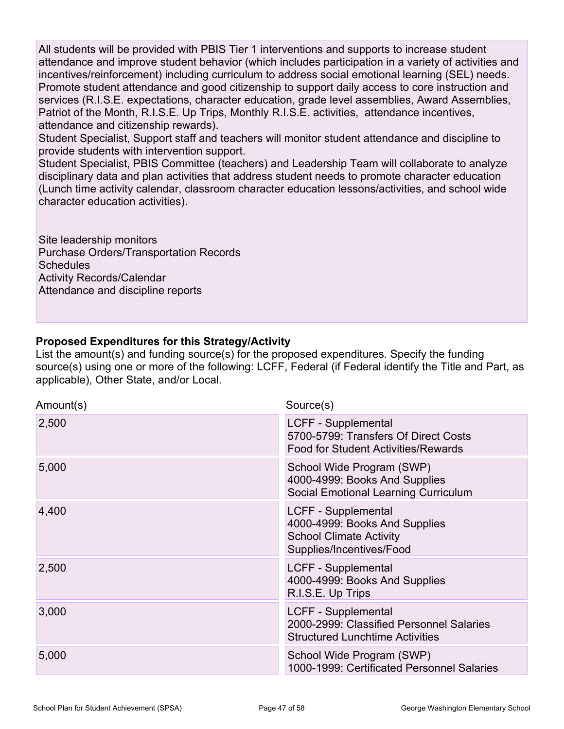All students will be provided with PBIS Tier 1 interventions and supports to increase student attendance and improve student behavior (which includes participation in a variety of activities and incentives/reinforcement) including curriculum to address social emotional learning (SEL) needs. Promote student attendance and good citizenship to support daily access to core instruction and services (R.I.S.E. expectations, character education, grade level assemblies, Award Assemblies, Patriot of the Month, R.I.S.E. Up Trips, Monthly R.I.S.E. activities, attendance incentives, attendance and citizenship rewards).

Student Specialist, Support staff and teachers will monitor student attendance and discipline to provide students with intervention support.

Student Specialist, PBIS Committee (teachers) and Leadership Team will collaborate to analyze disciplinary data and plan activities that address student needs to promote character education (Lunch time activity calendar, classroom character education lessons/activities, and school wide character education activities).

Site leadership monitors Purchase Orders/Transportation Records **Schedules** Activity Records/Calendar Attendance and discipline reports

#### **Proposed Expenditures for this Strategy/Activity**

List the amount(s) and funding source(s) for the proposed expenditures. Specify the funding source(s) using one or more of the following: LCFF, Federal (if Federal identify the Title and Part, as applicable), Other State, and/or Local.

| Amount(s) | Source(s)                                                                                                          |
|-----------|--------------------------------------------------------------------------------------------------------------------|
| 2,500     | <b>LCFF - Supplemental</b><br>5700-5799: Transfers Of Direct Costs<br><b>Food for Student Activities/Rewards</b>   |
| 5,000     | School Wide Program (SWP)<br>4000-4999: Books And Supplies<br>Social Emotional Learning Curriculum                 |
| 4,400     | LCFF - Supplemental<br>4000-4999: Books And Supplies<br><b>School Climate Activity</b><br>Supplies/Incentives/Food |
| 2,500     | LCFF - Supplemental<br>4000-4999: Books And Supplies<br>R.I.S.E. Up Trips                                          |
| 3,000     | LCFF - Supplemental<br>2000-2999: Classified Personnel Salaries<br><b>Structured Lunchtime Activities</b>          |
| 5,000     | School Wide Program (SWP)<br>1000-1999: Certificated Personnel Salaries                                            |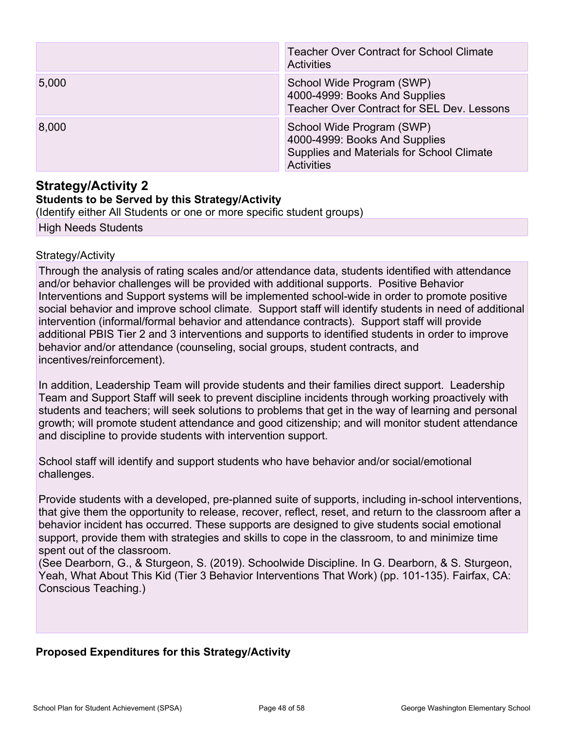|       | <b>Teacher Over Contract for School Climate</b><br><b>Activities</b>                                                         |
|-------|------------------------------------------------------------------------------------------------------------------------------|
| 5,000 | School Wide Program (SWP)<br>4000-4999: Books And Supplies<br><b>Teacher Over Contract for SEL Dev. Lessons</b>              |
| 8,000 | School Wide Program (SWP)<br>4000-4999: Books And Supplies<br>Supplies and Materials for School Climate<br><b>Activities</b> |

### **Strategy/Activity 2**

#### **Students to be Served by this Strategy/Activity**

(Identify either All Students or one or more specific student groups)

High Needs Students

#### Strategy/Activity

Through the analysis of rating scales and/or attendance data, students identified with attendance and/or behavior challenges will be provided with additional supports. Positive Behavior Interventions and Support systems will be implemented school-wide in order to promote positive social behavior and improve school climate. Support staff will identify students in need of additional intervention (informal/formal behavior and attendance contracts). Support staff will provide additional PBIS Tier 2 and 3 interventions and supports to identified students in order to improve behavior and/or attendance (counseling, social groups, student contracts, and incentives/reinforcement).

In addition, Leadership Team will provide students and their families direct support. Leadership Team and Support Staff will seek to prevent discipline incidents through working proactively with students and teachers; will seek solutions to problems that get in the way of learning and personal growth; will promote student attendance and good citizenship; and will monitor student attendance and discipline to provide students with intervention support.

School staff will identify and support students who have behavior and/or social/emotional challenges.

Provide students with a developed, pre-planned suite of supports, including in-school interventions, that give them the opportunity to release, recover, reflect, reset, and return to the classroom after a behavior incident has occurred. These supports are designed to give students social emotional support, provide them with strategies and skills to cope in the classroom, to and minimize time spent out of the classroom.

(See Dearborn, G., & Sturgeon, S. (2019). Schoolwide Discipline. In G. Dearborn, & S. Sturgeon, Yeah, What About This Kid (Tier 3 Behavior Interventions That Work) (pp. 101-135). Fairfax, CA: Conscious Teaching.)

### **Proposed Expenditures for this Strategy/Activity**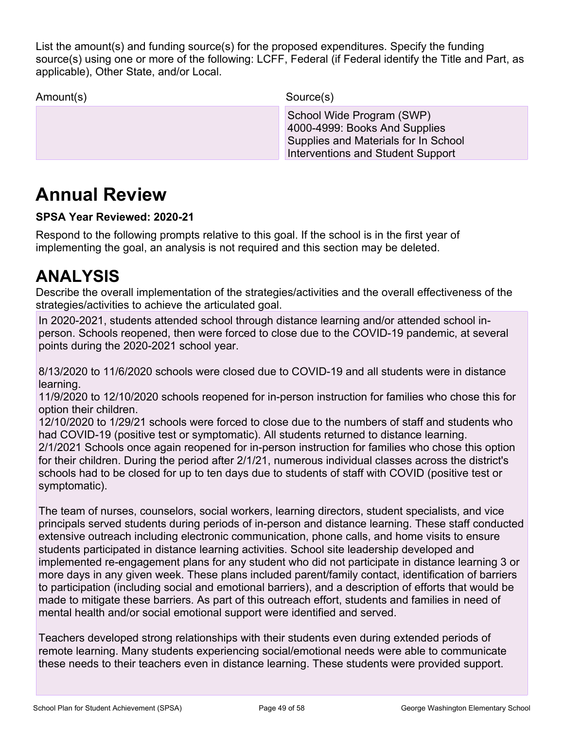List the amount(s) and funding source(s) for the proposed expenditures. Specify the funding source(s) using one or more of the following: LCFF, Federal (if Federal identify the Title and Part, as applicable), Other State, and/or Local.

Interventions and Student Support

Amount(s) Source(s) School Wide Program (SWP) 4000-4999: Books And Supplies Supplies and Materials for In School

## **Annual Review**

### **SPSA Year Reviewed: 2020-21**

Respond to the following prompts relative to this goal. If the school is in the first year of implementing the goal, an analysis is not required and this section may be deleted.

## **ANALYSIS**

Describe the overall implementation of the strategies/activities and the overall effectiveness of the strategies/activities to achieve the articulated goal.

In 2020-2021, students attended school through distance learning and/or attended school inperson. Schools reopened, then were forced to close due to the COVID-19 pandemic, at several points during the 2020-2021 school year.

8/13/2020 to 11/6/2020 schools were closed due to COVID-19 and all students were in distance learning.

11/9/2020 to 12/10/2020 schools reopened for in-person instruction for families who chose this for option their children.

12/10/2020 to 1/29/21 schools were forced to close due to the numbers of staff and students who had COVID-19 (positive test or symptomatic). All students returned to distance learning. 2/1/2021 Schools once again reopened for in-person instruction for families who chose this option for their children. During the period after 2/1/21, numerous individual classes across the district's schools had to be closed for up to ten days due to students of staff with COVID (positive test or symptomatic).

The team of nurses, counselors, social workers, learning directors, student specialists, and vice principals served students during periods of in-person and distance learning. These staff conducted extensive outreach including electronic communication, phone calls, and home visits to ensure students participated in distance learning activities. School site leadership developed and implemented re-engagement plans for any student who did not participate in distance learning 3 or more days in any given week. These plans included parent/family contact, identification of barriers to participation (including social and emotional barriers), and a description of efforts that would be made to mitigate these barriers. As part of this outreach effort, students and families in need of mental health and/or social emotional support were identified and served.

Teachers developed strong relationships with their students even during extended periods of remote learning. Many students experiencing social/emotional needs were able to communicate these needs to their teachers even in distance learning. These students were provided support.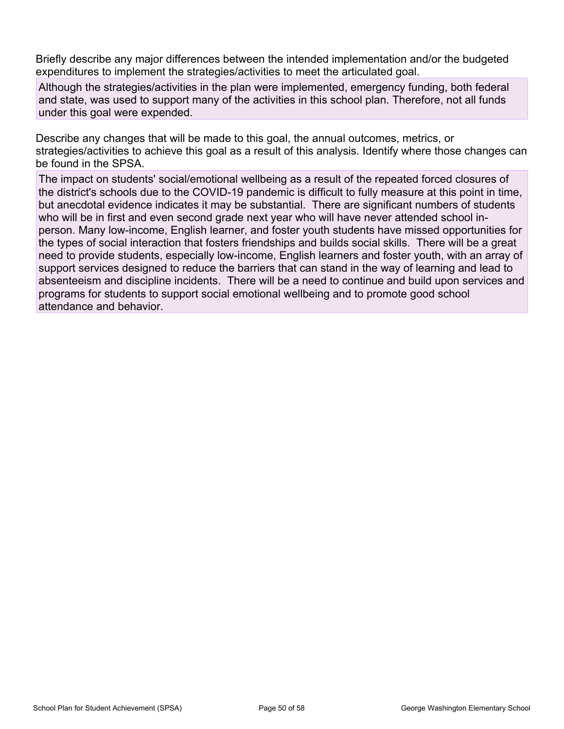Briefly describe any major differences between the intended implementation and/or the budgeted expenditures to implement the strategies/activities to meet the articulated goal.

Although the strategies/activities in the plan were implemented, emergency funding, both federal and state, was used to support many of the activities in this school plan. Therefore, not all funds under this goal were expended.

Describe any changes that will be made to this goal, the annual outcomes, metrics, or strategies/activities to achieve this goal as a result of this analysis. Identify where those changes can be found in the SPSA.

The impact on students' social/emotional wellbeing as a result of the repeated forced closures of the district's schools due to the COVID-19 pandemic is difficult to fully measure at this point in time, but anecdotal evidence indicates it may be substantial. There are significant numbers of students who will be in first and even second grade next year who will have never attended school inperson. Many low-income, English learner, and foster youth students have missed opportunities for the types of social interaction that fosters friendships and builds social skills. There will be a great need to provide students, especially low-income, English learners and foster youth, with an array of support services designed to reduce the barriers that can stand in the way of learning and lead to absenteeism and discipline incidents. There will be a need to continue and build upon services and programs for students to support social emotional wellbeing and to promote good school attendance and behavior.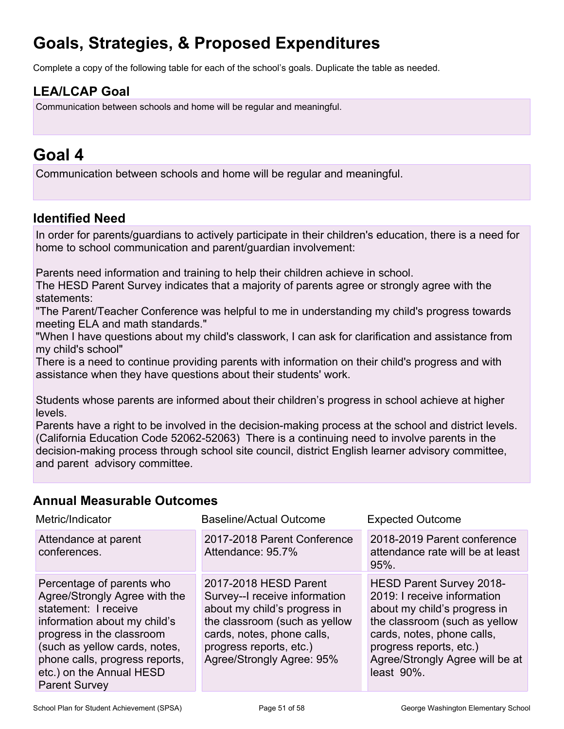## **Goals, Strategies, & Proposed Expenditures**

Complete a copy of the following table for each of the school's goals. Duplicate the table as needed.

## **LEA/LCAP Goal**

Communication between schools and home will be regular and meaningful.

## **Goal 4**

Communication between schools and home will be regular and meaningful.

### **Identified Need**

In order for parents/guardians to actively participate in their children's education, there is a need for home to school communication and parent/guardian involvement:

Parents need information and training to help their children achieve in school.

The HESD Parent Survey indicates that a majority of parents agree or strongly agree with the statements:

"The Parent/Teacher Conference was helpful to me in understanding my child's progress towards meeting ELA and math standards."

"When I have questions about my child's classwork, I can ask for clarification and assistance from my child's school"

There is a need to continue providing parents with information on their child's progress and with assistance when they have questions about their students' work.

Students whose parents are informed about their children's progress in school achieve at higher levels.

Parents have a right to be involved in the decision-making process at the school and district levels. (California Education Code 52062-52063) There is a continuing need to involve parents in the decision-making process through school site council, district English learner advisory committee, and parent advisory committee.

### **Annual Measurable Outcomes**

| Metric/Indicator                                                                                                                                                                                                                                                       | <b>Baseline/Actual Outcome</b>                                                                                                                                                                                | <b>Expected Outcome</b>                                                                                                                                                                                                            |
|------------------------------------------------------------------------------------------------------------------------------------------------------------------------------------------------------------------------------------------------------------------------|---------------------------------------------------------------------------------------------------------------------------------------------------------------------------------------------------------------|------------------------------------------------------------------------------------------------------------------------------------------------------------------------------------------------------------------------------------|
| Attendance at parent<br>conferences.                                                                                                                                                                                                                                   | 2017-2018 Parent Conference<br>Attendance: 95.7%                                                                                                                                                              | 2018-2019 Parent conference<br>attendance rate will be at least<br>$95%$ .                                                                                                                                                         |
| Percentage of parents who<br>Agree/Strongly Agree with the<br>statement: I receive<br>information about my child's<br>progress in the classroom<br>(such as yellow cards, notes,<br>phone calls, progress reports,<br>etc.) on the Annual HESD<br><b>Parent Survey</b> | 2017-2018 HESD Parent<br>Survey--I receive information<br>about my child's progress in<br>the classroom (such as yellow<br>cards, notes, phone calls,<br>progress reports, etc.)<br>Agree/Strongly Agree: 95% | HESD Parent Survey 2018-<br>2019: I receive information<br>about my child's progress in<br>the classroom (such as yellow<br>cards, notes, phone calls,<br>progress reports, etc.)<br>Agree/Strongly Agree will be at<br>least 90%. |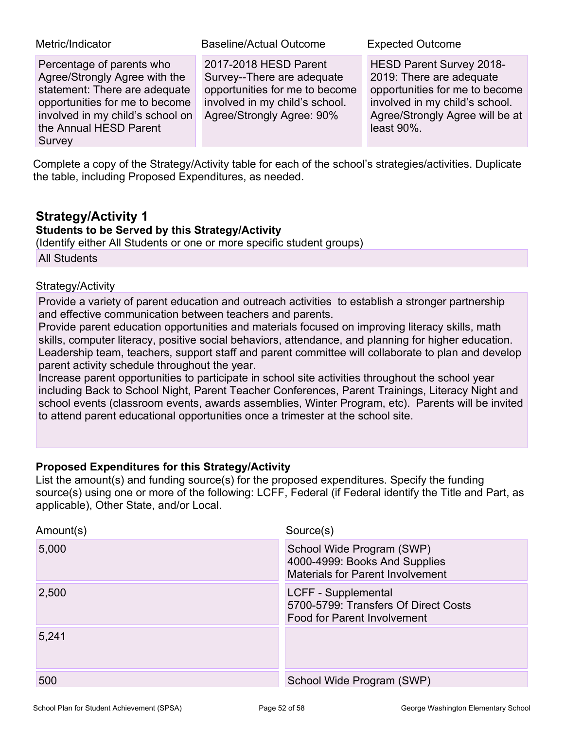| Metric/Indicator                                                                                                                                                                                      | <b>Baseline/Actual Outcome</b>                                                                                                                       | <b>Expected Outcome</b>                                                                                                                                                       |
|-------------------------------------------------------------------------------------------------------------------------------------------------------------------------------------------------------|------------------------------------------------------------------------------------------------------------------------------------------------------|-------------------------------------------------------------------------------------------------------------------------------------------------------------------------------|
| Percentage of parents who<br>Agree/Strongly Agree with the<br>statement: There are adequate<br>opportunities for me to become<br>involved in my child's school on<br>the Annual HESD Parent<br>Survey | 2017-2018 HESD Parent<br>Survey--There are adequate<br>opportunities for me to become<br>involved in my child's school.<br>Agree/Strongly Agree: 90% | HESD Parent Survey 2018-<br>2019: There are adequate<br>opportunities for me to become<br>involved in my child's school.<br>Agree/Strongly Agree will be at<br>least $90\%$ . |

Complete a copy of the Strategy/Activity table for each of the school's strategies/activities. Duplicate the table, including Proposed Expenditures, as needed.

### **Strategy/Activity 1**

### **Students to be Served by this Strategy/Activity**

(Identify either All Students or one or more specific student groups) All Students

#### Strategy/Activity

Provide a variety of parent education and outreach activities to establish a stronger partnership and effective communication between teachers and parents.

Provide parent education opportunities and materials focused on improving literacy skills, math skills, computer literacy, positive social behaviors, attendance, and planning for higher education. Leadership team, teachers, support staff and parent committee will collaborate to plan and develop parent activity schedule throughout the year.

Increase parent opportunities to participate in school site activities throughout the school year including Back to School Night, Parent Teacher Conferences, Parent Trainings, Literacy Night and school events (classroom events, awards assemblies, Winter Program, etc). Parents will be invited to attend parent educational opportunities once a trimester at the school site.

### **Proposed Expenditures for this Strategy/Activity**

List the amount(s) and funding source(s) for the proposed expenditures. Specify the funding source(s) using one or more of the following: LCFF, Federal (if Federal identify the Title and Part, as applicable), Other State, and/or Local.

| Amount(s) | Source(s)                                                                                             |
|-----------|-------------------------------------------------------------------------------------------------------|
| 5,000     | School Wide Program (SWP)<br>4000-4999: Books And Supplies<br><b>Materials for Parent Involvement</b> |
| 2,500     | LCFF - Supplemental<br>5700-5799: Transfers Of Direct Costs<br>Food for Parent Involvement            |
| 5,241     |                                                                                                       |
| 500       | School Wide Program (SWP)                                                                             |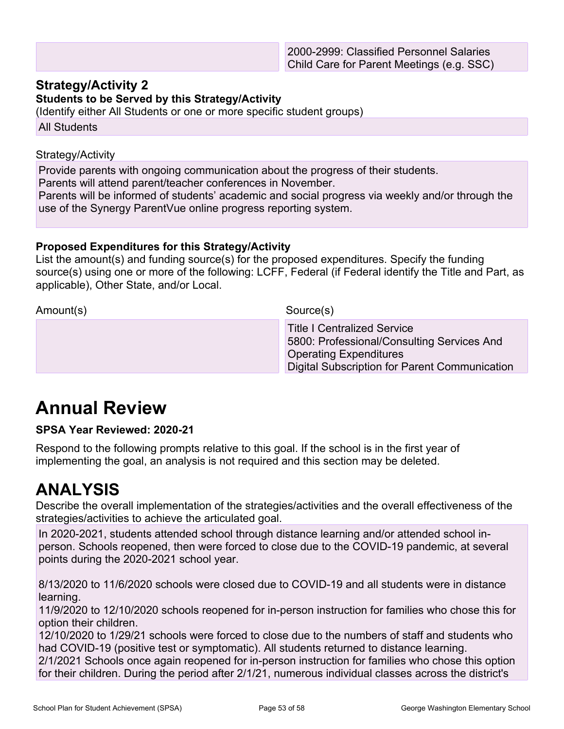### **Strategy/Activity 2**

#### **Students to be Served by this Strategy/Activity**

(Identify either All Students or one or more specific student groups)

All Students

#### Strategy/Activity

Provide parents with ongoing communication about the progress of their students.

Parents will attend parent/teacher conferences in November.

Parents will be informed of students' academic and social progress via weekly and/or through the use of the Synergy ParentVue online progress reporting system.

### **Proposed Expenditures for this Strategy/Activity**

List the amount(s) and funding source(s) for the proposed expenditures. Specify the funding source(s) using one or more of the following: LCFF, Federal (if Federal identify the Title and Part, as applicable), Other State, and/or Local.

Amount(s) Source(s)

 Title I Centralized Service 5800: Professional/Consulting Services And Operating Expenditures Digital Subscription for Parent Communication

## **Annual Review**

### **SPSA Year Reviewed: 2020-21**

Respond to the following prompts relative to this goal. If the school is in the first year of implementing the goal, an analysis is not required and this section may be deleted.

## **ANALYSIS**

Describe the overall implementation of the strategies/activities and the overall effectiveness of the strategies/activities to achieve the articulated goal.

In 2020-2021, students attended school through distance learning and/or attended school inperson. Schools reopened, then were forced to close due to the COVID-19 pandemic, at several points during the 2020-2021 school year.

8/13/2020 to 11/6/2020 schools were closed due to COVID-19 and all students were in distance learning.

11/9/2020 to 12/10/2020 schools reopened for in-person instruction for families who chose this for option their children.

12/10/2020 to 1/29/21 schools were forced to close due to the numbers of staff and students who had COVID-19 (positive test or symptomatic). All students returned to distance learning.

2/1/2021 Schools once again reopened for in-person instruction for families who chose this option for their children. During the period after 2/1/21, numerous individual classes across the district's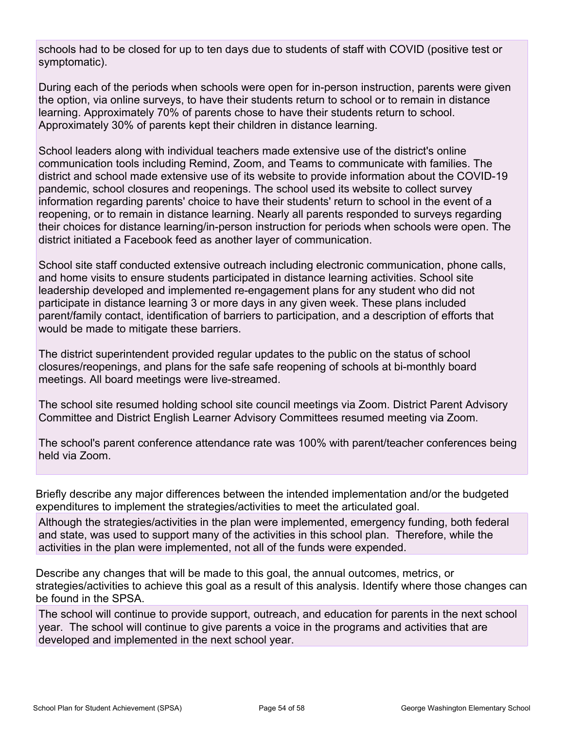schools had to be closed for up to ten days due to students of staff with COVID (positive test or symptomatic).

During each of the periods when schools were open for in-person instruction, parents were given the option, via online surveys, to have their students return to school or to remain in distance learning. Approximately 70% of parents chose to have their students return to school. Approximately 30% of parents kept their children in distance learning.

School leaders along with individual teachers made extensive use of the district's online communication tools including Remind, Zoom, and Teams to communicate with families. The district and school made extensive use of its website to provide information about the COVID-19 pandemic, school closures and reopenings. The school used its website to collect survey information regarding parents' choice to have their students' return to school in the event of a reopening, or to remain in distance learning. Nearly all parents responded to surveys regarding their choices for distance learning/in-person instruction for periods when schools were open. The district initiated a Facebook feed as another layer of communication.

School site staff conducted extensive outreach including electronic communication, phone calls, and home visits to ensure students participated in distance learning activities. School site leadership developed and implemented re-engagement plans for any student who did not participate in distance learning 3 or more days in any given week. These plans included parent/family contact, identification of barriers to participation, and a description of efforts that would be made to mitigate these barriers.

The district superintendent provided regular updates to the public on the status of school closures/reopenings, and plans for the safe safe reopening of schools at bi-monthly board meetings. All board meetings were live-streamed.

The school site resumed holding school site council meetings via Zoom. District Parent Advisory Committee and District English Learner Advisory Committees resumed meeting via Zoom.

The school's parent conference attendance rate was 100% with parent/teacher conferences being held via Zoom.

Briefly describe any major differences between the intended implementation and/or the budgeted expenditures to implement the strategies/activities to meet the articulated goal.

Although the strategies/activities in the plan were implemented, emergency funding, both federal and state, was used to support many of the activities in this school plan. Therefore, while the activities in the plan were implemented, not all of the funds were expended.

Describe any changes that will be made to this goal, the annual outcomes, metrics, or strategies/activities to achieve this goal as a result of this analysis. Identify where those changes can be found in the SPSA.

The school will continue to provide support, outreach, and education for parents in the next school year. The school will continue to give parents a voice in the programs and activities that are developed and implemented in the next school year.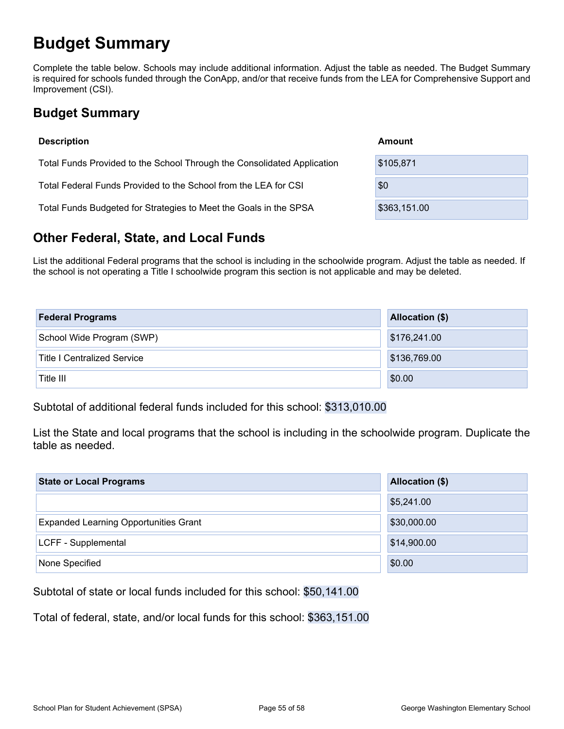## **Budget Summary**

Complete the table below. Schools may include additional information. Adjust the table as needed. The Budget Summary is required for schools funded through the ConApp, and/or that receive funds from the LEA for Comprehensive Support and Improvement (CSI).

## **Budget Summary**

| <b>Description</b>                                                      | Amount       |
|-------------------------------------------------------------------------|--------------|
| Total Funds Provided to the School Through the Consolidated Application | \$105,871    |
| Total Federal Funds Provided to the School from the LEA for CSI         | \$0          |
| Total Funds Budgeted for Strategies to Meet the Goals in the SPSA       | \$363,151.00 |

## **Other Federal, State, and Local Funds**

List the additional Federal programs that the school is including in the schoolwide program. Adjust the table as needed. If the school is not operating a Title I schoolwide program this section is not applicable and may be deleted.

| <b>Federal Programs</b>            | <b>Allocation (\$)</b> |
|------------------------------------|------------------------|
| School Wide Program (SWP)          | \$176,241.00           |
| <b>Title I Centralized Service</b> | \$136,769.00           |
| Title III                          | \$0.00                 |

Subtotal of additional federal funds included for this school: \$313,010.00

List the State and local programs that the school is including in the schoolwide program. Duplicate the table as needed.

| <b>State or Local Programs</b>               | Allocation (\$) |  |
|----------------------------------------------|-----------------|--|
|                                              | \$5,241.00      |  |
| <b>Expanded Learning Opportunities Grant</b> | \$30,000.00     |  |
| LCFF - Supplemental                          | \$14,900.00     |  |
| None Specified                               | \$0.00          |  |

Subtotal of state or local funds included for this school: \$50,141.00

Total of federal, state, and/or local funds for this school: \$363,151.00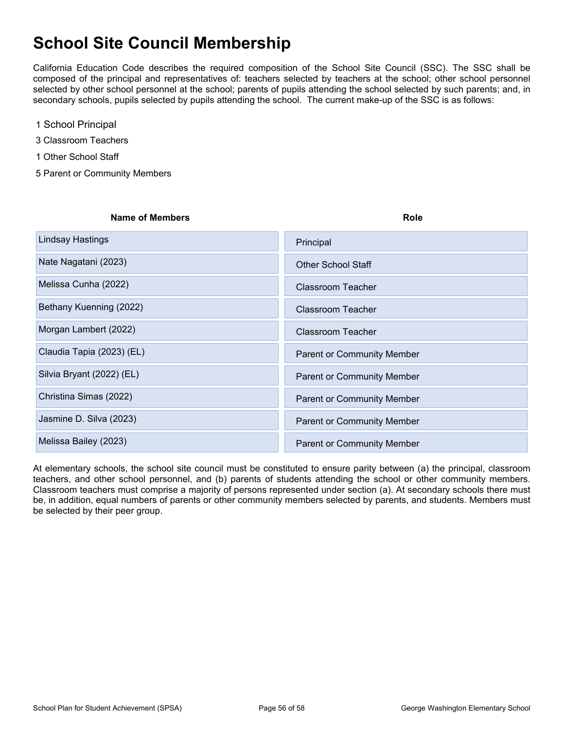## **School Site Council Membership**

California Education Code describes the required composition of the School Site Council (SSC). The SSC shall be composed of the principal and representatives of: teachers selected by teachers at the school; other school personnel selected by other school personnel at the school; parents of pupils attending the school selected by such parents; and, in secondary schools, pupils selected by pupils attending the school. The current make-up of the SSC is as follows:

- 1 School Principal
- 3 Classroom Teachers
- 1 Other School Staff
- 5 Parent or Community Members

| Name of Members           | <b>Role</b>                       |
|---------------------------|-----------------------------------|
| Lindsay Hastings          | Principal                         |
| Nate Nagatani (2023)      | <b>Other School Staff</b>         |
| Melissa Cunha (2022)      | Classroom Teacher                 |
| Bethany Kuenning (2022)   | Classroom Teacher                 |
| Morgan Lambert (2022)     | Classroom Teacher                 |
| Claudia Tapia (2023) (EL) | <b>Parent or Community Member</b> |
| Silvia Bryant (2022) (EL) | <b>Parent or Community Member</b> |
| Christina Simas (2022)    | <b>Parent or Community Member</b> |
| Jasmine D. Silva (2023)   | <b>Parent or Community Member</b> |
| Melissa Bailey (2023)     | <b>Parent or Community Member</b> |

At elementary schools, the school site council must be constituted to ensure parity between (a) the principal, classroom teachers, and other school personnel, and (b) parents of students attending the school or other community members. Classroom teachers must comprise a majority of persons represented under section (a). At secondary schools there must be, in addition, equal numbers of parents or other community members selected by parents, and students. Members must be selected by their peer group.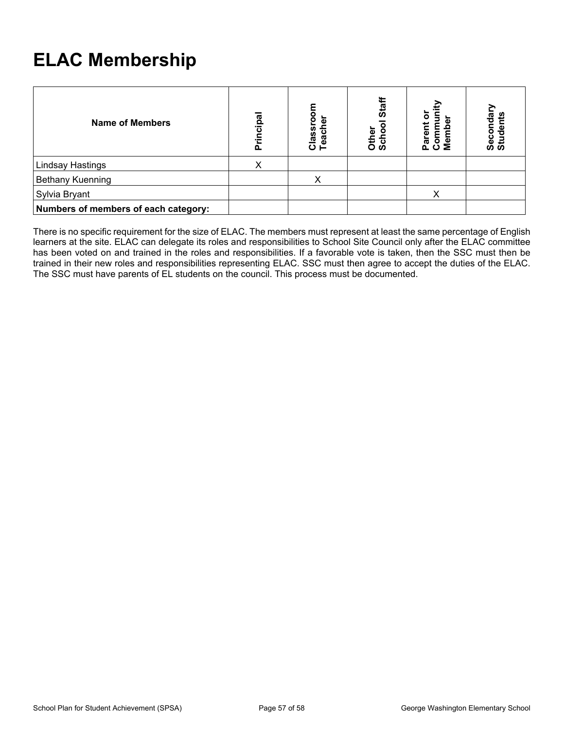## **ELAC Membership**

| <b>Name of Members</b>               | cipal<br>둔<br>ō | Classroor<br>Teacher | Staff<br>Other<br>Schoo | ው<br>Pare<br>Com<br>Mem | Secondary<br>Students |
|--------------------------------------|-----------------|----------------------|-------------------------|-------------------------|-----------------------|
| <b>Lindsay Hastings</b>              | Χ               |                      |                         |                         |                       |
| Bethany Kuenning                     |                 |                      |                         |                         |                       |
| Sylvia Bryant                        |                 |                      |                         | v                       |                       |
| Numbers of members of each category: |                 |                      |                         |                         |                       |

There is no specific requirement for the size of ELAC. The members must represent at least the same percentage of English learners at the site. ELAC can delegate its roles and responsibilities to School Site Council only after the ELAC committee has been voted on and trained in the roles and responsibilities. If a favorable vote is taken, then the SSC must then be trained in their new roles and responsibilities representing ELAC. SSC must then agree to accept the duties of the ELAC. The SSC must have parents of EL students on the council. This process must be documented.